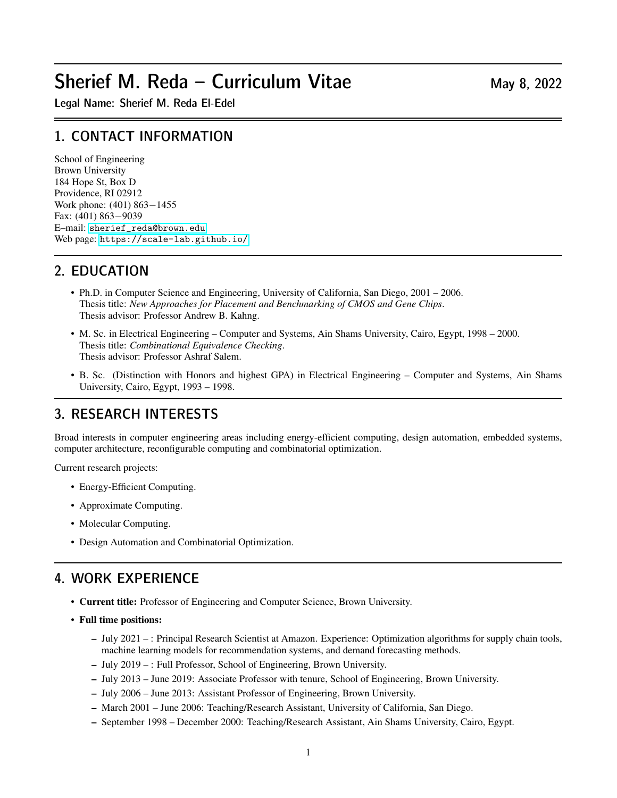# Sherief M. Reda – Curriculum Vitae  $M$ ay 8, 2022

Legal Name: Sherief M. Reda El-Edel

## 1. CONTACT INFORMATION

School of Engineering Brown University 184 Hope St, Box D Providence, RI 02912 Work phone: (401) 863−1455 Fax: (401) 863−9039 E–mail: [sherief\\_reda@brown.edu](sherief_reda@brown.edu) Web page: <https://scale-lab.github.io/>

## 2. EDUCATION

- Ph.D. in Computer Science and Engineering, University of California, San Diego, 2001 2006. Thesis title: *New Approaches for Placement and Benchmarking of CMOS and Gene Chips*. Thesis advisor: Professor Andrew B. Kahng.
- M. Sc. in Electrical Engineering Computer and Systems, Ain Shams University, Cairo, Egypt, 1998 2000. Thesis title: *Combinational Equivalence Checking*. Thesis advisor: Professor Ashraf Salem.
- B. Sc. (Distinction with Honors and highest GPA) in Electrical Engineering Computer and Systems, Ain Shams University, Cairo, Egypt, 1993 – 1998.

## 3. RESEARCH INTERESTS

Broad interests in computer engineering areas including energy-efficient computing, design automation, embedded systems, computer architecture, reconfigurable computing and combinatorial optimization.

Current research projects:

- Energy-Efficient Computing.
- Approximate Computing.
- Molecular Computing.
- Design Automation and Combinatorial Optimization.

## 4. WORK EXPERIENCE

- Current title: Professor of Engineering and Computer Science, Brown University.
- Full time positions:
	- July 2021 : Principal Research Scientist at Amazon. Experience: Optimization algorithms for supply chain tools, machine learning models for recommendation systems, and demand forecasting methods.
	- July 2019 : Full Professor, School of Engineering, Brown University.
	- July 2013 June 2019: Associate Professor with tenure, School of Engineering, Brown University.
	- July 2006 June 2013: Assistant Professor of Engineering, Brown University.
	- March 2001 June 2006: Teaching/Research Assistant, University of California, San Diego.
	- September 1998 December 2000: Teaching/Research Assistant, Ain Shams University, Cairo, Egypt.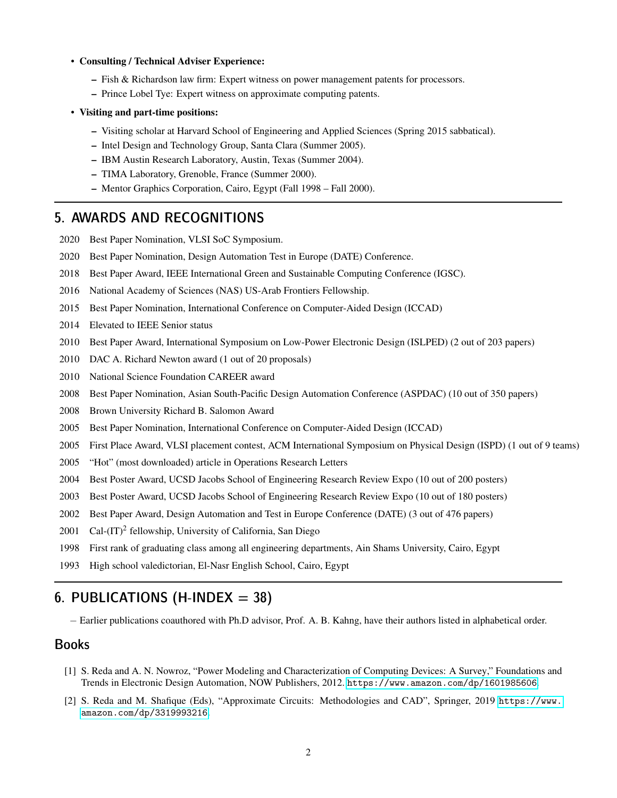#### • Consulting / Technical Adviser Experience:

- Fish & Richardson law firm: Expert witness on power management patents for processors.
- Prince Lobel Tye: Expert witness on approximate computing patents.
- Visiting and part-time positions:
	- Visiting scholar at Harvard School of Engineering and Applied Sciences (Spring 2015 sabbatical).
	- Intel Design and Technology Group, Santa Clara (Summer 2005).
	- IBM Austin Research Laboratory, Austin, Texas (Summer 2004).
	- TIMA Laboratory, Grenoble, France (Summer 2000).
	- Mentor Graphics Corporation, Cairo, Egypt (Fall 1998 Fall 2000).

#### 5. AWARDS AND RECOGNITIONS

- 2020 Best Paper Nomination, VLSI SoC Symposium.
- 2020 Best Paper Nomination, Design Automation Test in Europe (DATE) Conference.
- 2018 Best Paper Award, IEEE International Green and Sustainable Computing Conference (IGSC).
- 2016 National Academy of Sciences (NAS) US-Arab Frontiers Fellowship.
- 2015 Best Paper Nomination, International Conference on Computer-Aided Design (ICCAD)
- 2014 Elevated to IEEE Senior status
- 2010 Best Paper Award, International Symposium on Low-Power Electronic Design (ISLPED) (2 out of 203 papers)
- 2010 DAC A. Richard Newton award (1 out of 20 proposals)
- 2010 National Science Foundation CAREER award
- 2008 Best Paper Nomination, Asian South-Pacific Design Automation Conference (ASPDAC) (10 out of 350 papers)
- 2008 Brown University Richard B. Salomon Award
- 2005 Best Paper Nomination, International Conference on Computer-Aided Design (ICCAD)
- 2005 First Place Award, VLSI placement contest, ACM International Symposium on Physical Design (ISPD) (1 out of 9 teams)
- 2005 "Hot" (most downloaded) article in Operations Research Letters
- 2004 Best Poster Award, UCSD Jacobs School of Engineering Research Review Expo (10 out of 200 posters)
- 2003 Best Poster Award, UCSD Jacobs School of Engineering Research Review Expo (10 out of 180 posters)
- 2002 Best Paper Award, Design Automation and Test in Europe Conference (DATE) (3 out of 476 papers)
- 2001 Cal-(IT)<sup>2</sup> fellowship, University of California, San Diego
- 1998 First rank of graduating class among all engineering departments, Ain Shams University, Cairo, Egypt
- 1993 High school valedictorian, El-Nasr English School, Cairo, Egypt

## 6. PUBLICATIONS (H-INDEX  $= 38$ )

− Earlier publications coauthored with Ph.D advisor, Prof. A. B. Kahng, have their authors listed in alphabetical order.

### Books

- [1] S. Reda and A. N. Nowroz, "Power Modeling and Characterization of Computing Devices: A Survey," Foundations and Trends in Electronic Design Automation, NOW Publishers, 2012. <https://www.amazon.com/dp/1601985606>.
- [2] S. Reda and M. Shafique (Eds), "Approximate Circuits: Methodologies and CAD", Springer, 2019 [https://www.](https://www.amazon.com/dp/3319993216) [amazon.com/dp/3319993216](https://www.amazon.com/dp/3319993216).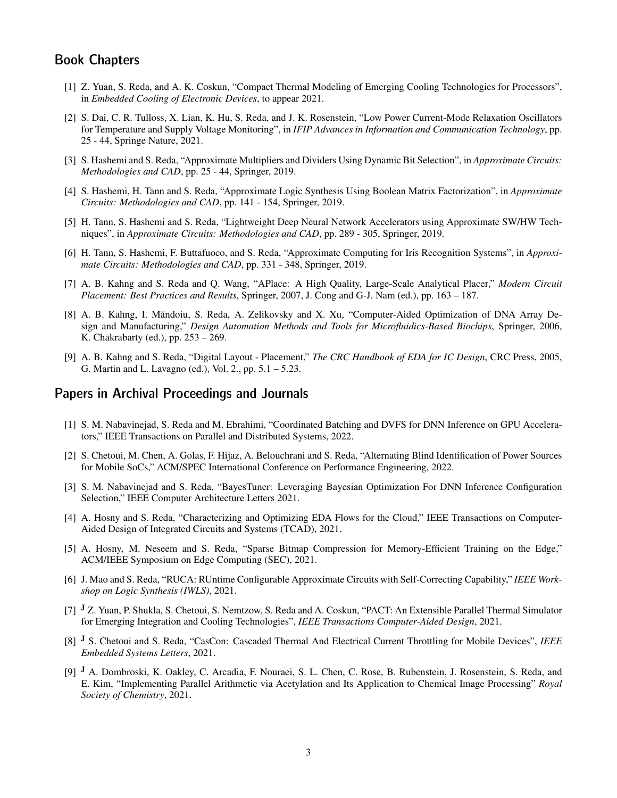### Book Chapters

- [1] Z. Yuan, S. Reda, and A. K. Coskun, "Compact Thermal Modeling of Emerging Cooling Technologies for Processors", in *Embedded Cooling of Electronic Devices*, to appear 2021.
- [2] S. Dai, C. R. Tulloss, X. Lian, K. Hu, S. Reda, and J. K. Rosenstein, "Low Power Current-Mode Relaxation Oscillators for Temperature and Supply Voltage Monitoring", in *IFIP Advances in Information and Communication Technology*, pp. 25 - 44, Springe Nature, 2021.
- [3] S. Hashemi and S. Reda, "Approximate Multipliers and Dividers Using Dynamic Bit Selection", in *Approximate Circuits: Methodologies and CAD*, pp. 25 - 44, Springer, 2019.
- [4] S. Hashemi, H. Tann and S. Reda, "Approximate Logic Synthesis Using Boolean Matrix Factorization", in *Approximate Circuits: Methodologies and CAD*, pp. 141 - 154, Springer, 2019.
- [5] H. Tann, S. Hashemi and S. Reda, "Lightweight Deep Neural Network Accelerators using Approximate SW/HW Techniques", in *Approximate Circuits: Methodologies and CAD*, pp. 289 - 305, Springer, 2019.
- [6] H. Tann, S. Hashemi, F. Buttafuoco, and S. Reda, "Approximate Computing for Iris Recognition Systems", in *Approximate Circuits: Methodologies and CAD*, pp. 331 - 348, Springer, 2019.
- [7] A. B. Kahng and S. Reda and Q. Wang, "APlace: A High Quality, Large-Scale Analytical Placer," *Modern Circuit Placement: Best Practices and Results*, Springer, 2007, J. Cong and G-J. Nam (ed.), pp. 163 – 187.
- [8] A. B. Kahng, I. Măndoiu, S. Reda, A. Zelikovsky and X. Xu, "Computer-Aided Optimization of DNA Array Design and Manufacturing," *Design Automation Methods and Tools for Microfluidics-Based Biochips*, Springer, 2006, K. Chakrabarty (ed.), pp. 253 – 269.
- [9] A. B. Kahng and S. Reda, "Digital Layout Placement," *The CRC Handbook of EDA for IC Design*, CRC Press, 2005, G. Martin and L. Lavagno (ed.), Vol. 2., pp. 5.1 – 5.23.

#### Papers in Archival Proceedings and Journals

- [1] S. M. Nabavinejad, S. Reda and M. Ebrahimi, "Coordinated Batching and DVFS for DNN Inference on GPU Accelerators," IEEE Transactions on Parallel and Distributed Systems, 2022.
- [2] S. Chetoui, M. Chen, A. Golas, F. Hijaz, A. Belouchrani and S. Reda, "Alternating Blind Identification of Power Sources for Mobile SoCs," ACM/SPEC International Conference on Performance Engineering, 2022.
- [3] S. M. Nabavinejad and S. Reda, "BayesTuner: Leveraging Bayesian Optimization For DNN Inference Configuration Selection," IEEE Computer Architecture Letters 2021.
- [4] A. Hosny and S. Reda, "Characterizing and Optimizing EDA Flows for the Cloud," IEEE Transactions on Computer-Aided Design of Integrated Circuits and Systems (TCAD), 2021.
- [5] A. Hosny, M. Neseem and S. Reda, "Sparse Bitmap Compression for Memory-Efficient Training on the Edge," ACM/IEEE Symposium on Edge Computing (SEC), 2021.
- [6] J. Mao and S. Reda, "RUCA: RUntime Configurable Approximate Circuits with Self-Correcting Capability," *IEEE Workshop on Logic Synthesis (IWLS)*, 2021.
- [7] <sup>J</sup> Z. Yuan, P. Shukla, S. Chetoui, S. Nemtzow, S. Reda and A. Coskun, "PACT: An Extensible Parallel Thermal Simulator for Emerging Integration and Cooling Technologies", *IEEE Transactions Computer-Aided Design*, 2021.
- [8] <sup>J</sup> S. Chetoui and S. Reda, "CasCon: Cascaded Thermal And Electrical Current Throttling for Mobile Devices", *IEEE Embedded Systems Letters*, 2021.
- [9] <sup>J</sup> A. Dombroski, K. Oakley, C. Arcadia, F. Nouraei, S. L. Chen, C. Rose, B. Rubenstein, J. Rosenstein, S. Reda, and E. Kim, "Implementing Parallel Arithmetic via Acetylation and Its Application to Chemical Image Processing" *Royal Society of Chemistry*, 2021.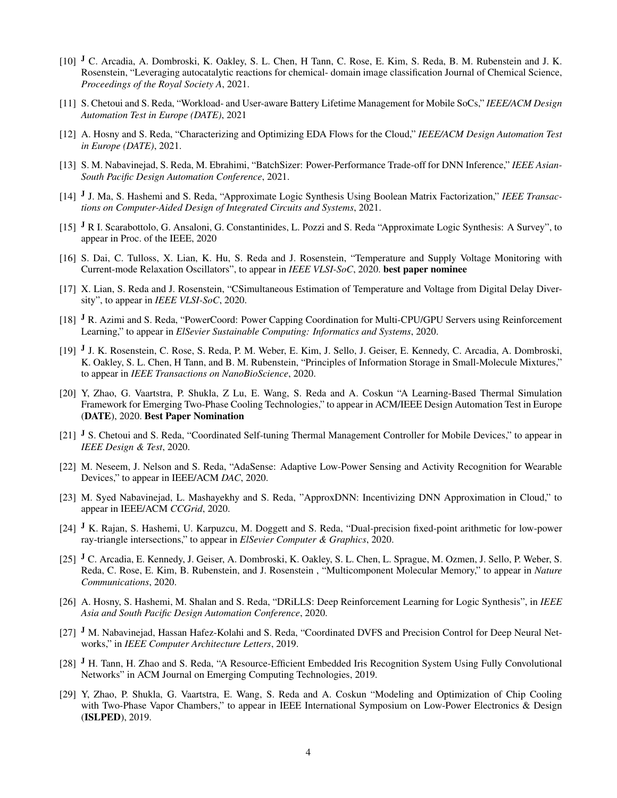- [10] <sup>J</sup> C. Arcadia, A. Dombroski, K. Oakley, S. L. Chen, H Tann, C. Rose, E. Kim, S. Reda, B. M. Rubenstein and J. K. Rosenstein, "Leveraging autocatalytic reactions for chemical- domain image classification Journal of Chemical Science, *Proceedings of the Royal Society A*, 2021.
- [11] S. Chetoui and S. Reda, "Workload- and User-aware Battery Lifetime Management for Mobile SoCs," *IEEE/ACM Design Automation Test in Europe (DATE)*, 2021
- [12] A. Hosny and S. Reda, "Characterizing and Optimizing EDA Flows for the Cloud," *IEEE/ACM Design Automation Test in Europe (DATE)*, 2021.
- [13] S. M. Nabavinejad, S. Reda, M. Ebrahimi, "BatchSizer: Power-Performance Trade-off for DNN Inference," *IEEE Asian-South Pacific Design Automation Conference*, 2021.
- [14] J. Ma, S. Hashemi and S. Reda, "Approximate Logic Synthesis Using Boolean Matrix Factorization," IEEE Transac*tions on Computer-Aided Design of Integrated Circuits and Systems*, 2021.
- [15] <sup>J</sup> R I. Scarabottolo, G. Ansaloni, G. Constantinides, L. Pozzi and S. Reda "Approximate Logic Synthesis: A Survey", to appear in Proc. of the IEEE, 2020
- [16] S. Dai, C. Tulloss, X. Lian, K. Hu, S. Reda and J. Rosenstein, "Temperature and Supply Voltage Monitoring with Current-mode Relaxation Oscillators", to appear in *IEEE VLSI-SoC*, 2020. best paper nominee
- [17] X. Lian, S. Reda and J. Rosenstein, "CSimultaneous Estimation of Temperature and Voltage from Digital Delay Diversity", to appear in *IEEE VLSI-SoC*, 2020.
- [18] <sup>J</sup> R. Azimi and S. Reda, "PowerCoord: Power Capping Coordination for Multi-CPU/GPU Servers using Reinforcement Learning," to appear in *ElSevier Sustainable Computing: Informatics and Systems*, 2020.
- [19] J. K. Rosenstein, C. Rose, S. Reda, P. M. Weber, E. Kim, J. Sello, J. Geiser, E. Kennedy, C. Arcadia, A. Dombroski, K. Oakley, S. L. Chen, H Tann, and B. M. Rubenstein, "Principles of Information Storage in Small-Molecule Mixtures," to appear in *IEEE Transactions on NanoBioScience*, 2020.
- [20] Y, Zhao, G. Vaartstra, P. Shukla, Z Lu, E. Wang, S. Reda and A. Coskun "A Learning-Based Thermal Simulation Framework for Emerging Two-Phase Cooling Technologies," to appear in ACM/IEEE Design Automation Test in Europe (DATE), 2020. Best Paper Nomination
- [21] J S. Chetoui and S. Reda, "Coordinated Self-tuning Thermal Management Controller for Mobile Devices," to appear in *IEEE Design & Test*, 2020.
- [22] M. Neseem, J. Nelson and S. Reda, "AdaSense: Adaptive Low-Power Sensing and Activity Recognition for Wearable Devices," to appear in IEEE/ACM *DAC*, 2020.
- [23] M. Syed Nabavinejad, L. Mashayekhy and S. Reda, "ApproxDNN: Incentivizing DNN Approximation in Cloud," to appear in IEEE/ACM *CCGrid*, 2020.
- [24]  $<sup>J</sup>$  K. Rajan, S. Hashemi, U. Karpuzcu, M. Doggett and S. Reda, "Dual-precision fixed-point arithmetic for low-power</sup> ray-triangle intersections," to appear in *ElSevier Computer & Graphics*, 2020.
- [25] J C. Arcadia, E. Kennedy, J. Geiser, A. Dombroski, K. Oakley, S. L. Chen, L. Sprague, M. Ozmen, J. Sello, P. Weber, S. Reda, C. Rose, E. Kim, B. Rubenstein, and J. Rosenstein , "Multicomponent Molecular Memory," to appear in *Nature Communications*, 2020.
- [26] A. Hosny, S. Hashemi, M. Shalan and S. Reda, "DRiLLS: Deep Reinforcement Learning for Logic Synthesis", in *IEEE Asia and South Pacific Design Automation Conference*, 2020.
- [27] J M. Nabavinejad, Hassan Hafez-Kolahi and S. Reda, "Coordinated DVFS and Precision Control for Deep Neural Networks," in *IEEE Computer Architecture Letters*, 2019.
- [28] J H. Tann, H. Zhao and S. Reda, "A Resource-Efficient Embedded Iris Recognition System Using Fully Convolutional Networks" in ACM Journal on Emerging Computing Technologies, 2019.
- [29] Y, Zhao, P. Shukla, G. Vaartstra, E. Wang, S. Reda and A. Coskun "Modeling and Optimization of Chip Cooling with Two-Phase Vapor Chambers," to appear in IEEE International Symposium on Low-Power Electronics & Design (ISLPED), 2019.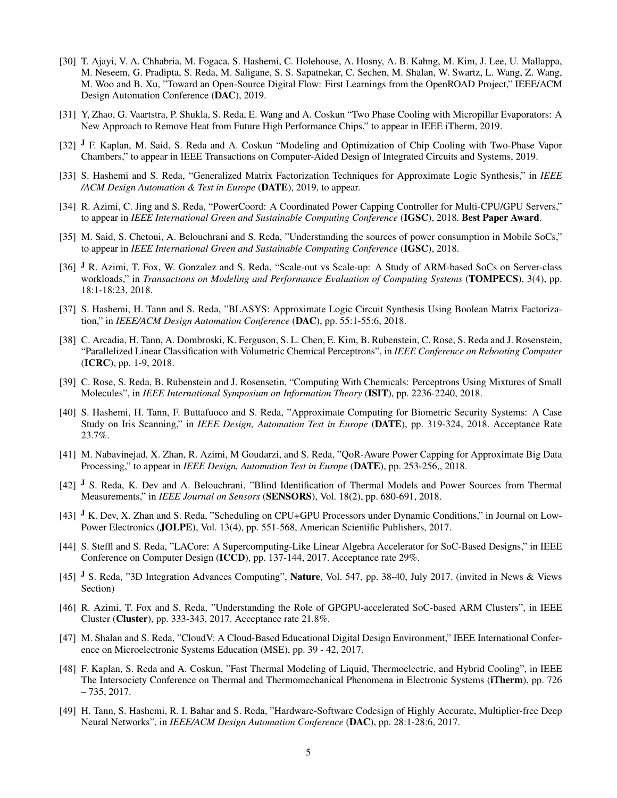- [30] T. Ajayi, V. A. Chhabria, M. Fogaca, S. Hashemi, C. Holehouse, A. Hosny, A. B. Kahng, M. Kim, J. Lee, U. Mallappa, M. Neseem, G. Pradipta, S. Reda, M. Saligane, S. S. Sapatnekar, C. Sechen, M. Shalan, W. Swartz, L. Wang, Z. Wang, M. Woo and B. Xu, "Toward an Open-Source Digital Flow: First Learnings from the OpenROAD Project," IEEE/ACM Design Automation Conference (DAC), 2019.
- [31] Y, Zhao, G. Vaartstra, P. Shukla, S. Reda, E. Wang and A. Coskun "Two Phase Cooling with Micropillar Evaporators: A New Approach to Remove Heat from Future High Performance Chips," to appear in IEEE iTherm, 2019.
- [32] <sup>J</sup> F. Kaplan, M. Said, S. Reda and A. Coskun "Modeling and Optimization of Chip Cooling with Two-Phase Vapor Chambers," to appear in IEEE Transactions on Computer-Aided Design of Integrated Circuits and Systems, 2019.
- [33] S. Hashemi and S. Reda, "Generalized Matrix Factorization Techniques for Approximate Logic Synthesis," in *IEEE /ACM Design Automation & Test in Europe* (DATE), 2019, to appear.
- [34] R. Azimi, C. Jing and S. Reda, "PowerCoord: A Coordinated Power Capping Controller for Multi-CPU/GPU Servers," to appear in *IEEE International Green and Sustainable Computing Conference* (IGSC), 2018. Best Paper Award.
- [35] M. Said, S. Chetoui, A. Belouchrani and S. Reda, "Understanding the sources of power consumption in Mobile SoCs," to appear in *IEEE International Green and Sustainable Computing Conference* (IGSC), 2018.
- [36] J R. Azimi, T. Fox, W. Gonzalez and S. Reda, "Scale-out vs Scale-up: A Study of ARM-based SoCs on Server-class workloads," in *Transactions on Modeling and Performance Evaluation of Computing Systems* (TOMPECS), 3(4), pp. 18:1-18:23, 2018.
- [37] S. Hashemi, H. Tann and S. Reda, "BLASYS: Approximate Logic Circuit Synthesis Using Boolean Matrix Factorization," in *IEEE/ACM Design Automation Conference* (DAC), pp. 55:1-55:6, 2018.
- [38] C. Arcadia, H. Tann, A. Dombroski, K. Ferguson, S. L. Chen, E. Kim, B. Rubenstein, C. Rose, S. Reda and J. Rosenstein, "Parallelized Linear Classification with Volumetric Chemical Perceptrons", in *IEEE Conference on Rebooting Computer* (ICRC), pp. 1-9, 2018.
- [39] C. Rose, S. Reda, B. Rubenstein and J. Rosensetin, "Computing With Chemicals: Perceptrons Using Mixtures of Small Molecules", in *IEEE International Symposium on Information Theory* (ISIT), pp. 2236-2240, 2018.
- [40] S. Hashemi, H. Tann, F. Buttafuoco and S. Reda, "Approximate Computing for Biometric Security Systems: A Case Study on Iris Scanning," in *IEEE Design, Automation Test in Europe* (DATE), pp. 319-324, 2018. Acceptance Rate 23.7%.
- [41] M. Nabavinejad, X. Zhan, R. Azimi, M Goudarzi, and S. Reda, "QoR-Aware Power Capping for Approximate Big Data Processing," to appear in *IEEE Design, Automation Test in Europe* (DATE), pp. 253-256,, 2018.
- [42] <sup>J</sup> S. Reda, K. Dev and A. Belouchrani, "Blind Identification of Thermal Models and Power Sources from Thermal Measurements," in *IEEE Journal on Sensors* (SENSORS), Vol. 18(2), pp. 680-691, 2018.
- [43] <sup>J</sup> K. Dev, X. Zhan and S. Reda, "Scheduling on CPU+GPU Processors under Dynamic Conditions," in Journal on Low-Power Electronics (JOLPE), Vol. 13(4), pp. 551-568, American Scientific Publishers, 2017.
- [44] S. Steffl and S. Reda, "LACore: A Supercomputing-Like Linear Algebra Accelerator for SoC-Based Designs," in IEEE Conference on Computer Design (ICCD), pp. 137-144, 2017. Acceptance rate 29%.
- [45] <sup>J</sup> S. Reda, "3D Integration Advances Computing", **Nature**, Vol. 547, pp. 38-40, July 2017. (invited in News & Views Section)
- [46] R. Azimi, T. Fox and S. Reda, "Understanding the Role of GPGPU-accelerated SoC-based ARM Clusters", in IEEE Cluster (Cluster), pp. 333-343, 2017. Acceptance rate 21.8%.
- [47] M. Shalan and S. Reda, "CloudV: A Cloud-Based Educational Digital Design Environment," IEEE International Conference on Microelectronic Systems Education (MSE), pp. 39 - 42, 2017.
- [48] F. Kaplan, S. Reda and A. Coskun, "Fast Thermal Modeling of Liquid, Thermoelectric, and Hybrid Cooling", in IEEE The Intersociety Conference on Thermal and Thermomechanical Phenomena in Electronic Systems (iTherm), pp. 726  $-735, 2017.$
- [49] H. Tann, S. Hashemi, R. I. Bahar and S. Reda, "Hardware-Software Codesign of Highly Accurate, Multiplier-free Deep Neural Networks", in *IEEE/ACM Design Automation Conference* (DAC), pp. 28:1-28:6, 2017.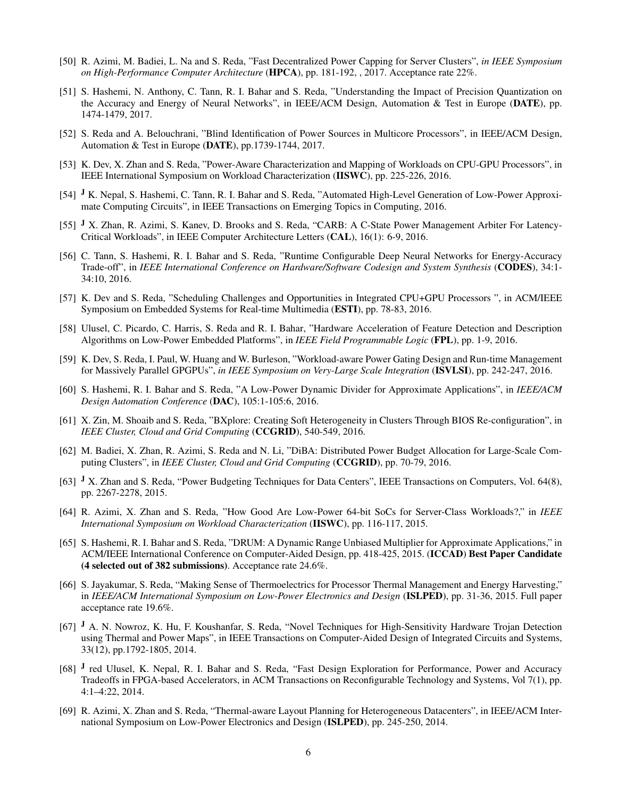- [50] R. Azimi, M. Badiei, L. Na and S. Reda, "Fast Decentralized Power Capping for Server Clusters", *in IEEE Symposium on High-Performance Computer Architecture* (HPCA), pp. 181-192, , 2017. Acceptance rate 22%.
- [51] S. Hashemi, N. Anthony, C. Tann, R. I. Bahar and S. Reda, "Understanding the Impact of Precision Quantization on the Accuracy and Energy of Neural Networks", in IEEE/ACM Design, Automation & Test in Europe (DATE), pp. 1474-1479, 2017.
- [52] S. Reda and A. Belouchrani, "Blind Identification of Power Sources in Multicore Processors", in IEEE/ACM Design, Automation & Test in Europe (DATE), pp.1739-1744, 2017.
- [53] K. Dev, X. Zhan and S. Reda, "Power-Aware Characterization and Mapping of Workloads on CPU-GPU Processors", in IEEE International Symposium on Workload Characterization (IISWC), pp. 225-226, 2016.
- [54] <sup>J</sup> K. Nepal, S. Hashemi, C. Tann, R. I. Bahar and S. Reda, "Automated High-Level Generation of Low-Power Approximate Computing Circuits", in IEEE Transactions on Emerging Topics in Computing, 2016.
- [55] <sup>J</sup> X. Zhan, R. Azimi, S. Kanev, D. Brooks and S. Reda, "CARB: A C-State Power Management Arbiter For Latency-Critical Workloads", in IEEE Computer Architecture Letters (CAL), 16(1): 6-9, 2016.
- [56] C. Tann, S. Hashemi, R. I. Bahar and S. Reda, "Runtime Configurable Deep Neural Networks for Energy-Accuracy Trade-off", in *IEEE International Conference on Hardware/Software Codesign and System Synthesis* (CODES), 34:1- 34:10, 2016.
- [57] K. Dev and S. Reda, "Scheduling Challenges and Opportunities in Integrated CPU+GPU Processors ", in ACM/IEEE Symposium on Embedded Systems for Real-time Multimedia (ESTI), pp. 78-83, 2016.
- [58] Ulusel, C. Picardo, C. Harris, S. Reda and R. I. Bahar, "Hardware Acceleration of Feature Detection and Description Algorithms on Low-Power Embedded Platforms", in *IEEE Field Programmable Logic* (FPL), pp. 1-9, 2016.
- [59] K. Dev, S. Reda, I. Paul, W. Huang and W. Burleson, "Workload-aware Power Gating Design and Run-time Management for Massively Parallel GPGPUs", *in IEEE Symposium on Very-Large Scale Integration* (ISVLSI), pp. 242-247, 2016.
- [60] S. Hashemi, R. I. Bahar and S. Reda, "A Low-Power Dynamic Divider for Approximate Applications", in *IEEE/ACM Design Automation Conference* (DAC), 105:1-105:6, 2016.
- [61] X. Zin, M. Shoaib and S. Reda, "BXplore: Creating Soft Heterogeneity in Clusters Through BIOS Re-configuration", in *IEEE Cluster, Cloud and Grid Computing* (CCGRID), 540-549, 2016.
- [62] M. Badiei, X. Zhan, R. Azimi, S. Reda and N. Li, "DiBA: Distributed Power Budget Allocation for Large-Scale Computing Clusters", in *IEEE Cluster, Cloud and Grid Computing* (CCGRID), pp. 70-79, 2016.
- [63] J X. Zhan and S. Reda, "Power Budgeting Techniques for Data Centers", IEEE Transactions on Computers, Vol. 64(8), pp. 2267-2278, 2015.
- [64] R. Azimi, X. Zhan and S. Reda, "How Good Are Low-Power 64-bit SoCs for Server-Class Workloads?," in *IEEE International Symposium on Workload Characterization* (IISWC), pp. 116-117, 2015.
- [65] S. Hashemi, R. I. Bahar and S. Reda, "DRUM: A Dynamic Range Unbiased Multiplier for Approximate Applications," in ACM/IEEE International Conference on Computer-Aided Design, pp. 418-425, 2015. (ICCAD) Best Paper Candidate (4 selected out of 382 submissions). Acceptance rate 24.6%.
- [66] S. Jayakumar, S. Reda, "Making Sense of Thermoelectrics for Processor Thermal Management and Energy Harvesting," in *IEEE/ACM International Symposium on Low-Power Electronics and Design* (ISLPED), pp. 31-36, 2015. Full paper acceptance rate 19.6%.
- [67] J A. N. Nowroz, K. Hu, F. Koushanfar, S. Reda, "Novel Techniques for High-Sensitivity Hardware Trojan Detection using Thermal and Power Maps", in IEEE Transactions on Computer-Aided Design of Integrated Circuits and Systems, 33(12), pp.1792-1805, 2014.
- [68] <sup>J</sup> red Ulusel, K. Nepal, R. I. Bahar and S. Reda, "Fast Design Exploration for Performance, Power and Accuracy Tradeoffs in FPGA-based Accelerators, in ACM Transactions on Reconfigurable Technology and Systems, Vol 7(1), pp. 4:1–4:22, 2014.
- [69] R. Azimi, X. Zhan and S. Reda, "Thermal-aware Layout Planning for Heterogeneous Datacenters", in IEEE/ACM International Symposium on Low-Power Electronics and Design (ISLPED), pp. 245-250, 2014.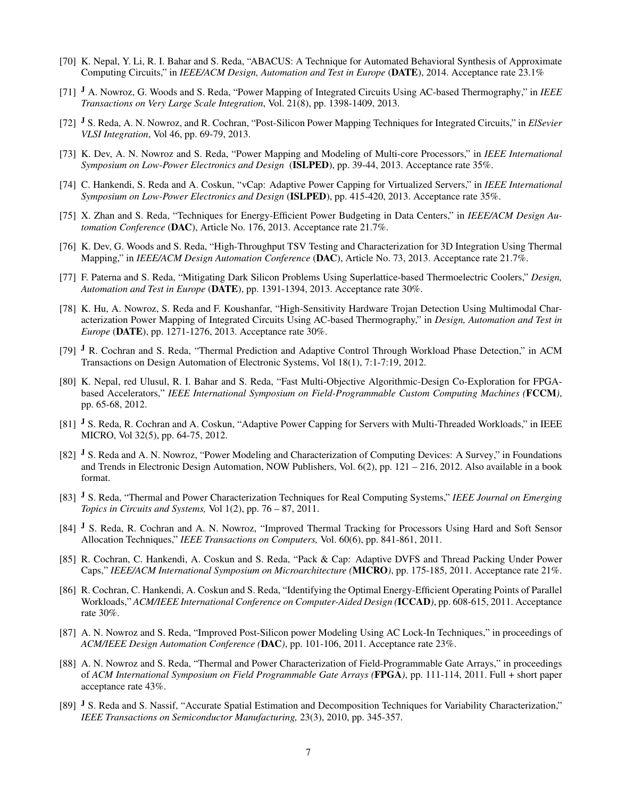- [70] K. Nepal, Y. Li, R. I. Bahar and S. Reda, "ABACUS: A Technique for Automated Behavioral Synthesis of Approximate Computing Circuits," in *IEEE/ACM Design, Automation and Test in Europe* (DATE), 2014. Acceptance rate 23.1%
- [71] <sup>J</sup> A. Nowroz, G. Woods and S. Reda, "Power Mapping of Integrated Circuits Using AC-based Thermography," in *IEEE Transactions on Very Large Scale Integration*, Vol. 21(8), pp. 1398-1409, 2013.
- [72] <sup>J</sup> S. Reda, A. N. Nowroz, and R. Cochran, "Post-Silicon Power Mapping Techniques for Integrated Circuits," in *ElSevier VLSI Integration*, Vol 46, pp. 69-79, 2013.
- [73] K. Dev, A. N. Nowroz and S. Reda, "Power Mapping and Modeling of Multi-core Processors," in *IEEE International Symposium on Low-Power Electronics and Design* (ISLPED), pp. 39-44, 2013. Acceptance rate 35%.
- [74] C. Hankendi, S. Reda and A. Coskun, "vCap: Adaptive Power Capping for Virtualized Servers," in *IEEE International Symposium on Low-Power Electronics and Design* (ISLPED), pp. 415-420, 2013. Acceptance rate 35%.
- [75] X. Zhan and S. Reda, "Techniques for Energy-Efficient Power Budgeting in Data Centers," in *IEEE/ACM Design Automation Conference* (DAC), Article No. 176, 2013. Acceptance rate 21.7%.
- [76] K. Dev, G. Woods and S. Reda, "High-Throughput TSV Testing and Characterization for 3D Integration Using Thermal Mapping," in *IEEE/ACM Design Automation Conference* (DAC), Article No. 73, 2013. Acceptance rate 21.7%.
- [77] F. Paterna and S. Reda, "Mitigating Dark Silicon Problems Using Superlattice-based Thermoelectric Coolers," *Design, Automation and Test in Europe* (DATE), pp. 1391-1394, 2013. Acceptance rate 30%.
- [78] K. Hu, A. Nowroz, S. Reda and F. Koushanfar, "High-Sensitivity Hardware Trojan Detection Using Multimodal Characterization Power Mapping of Integrated Circuits Using AC-based Thermography," in *Design, Automation and Test in Europe* (DATE), pp. 1271-1276, 2013. Acceptance rate 30%.
- [79] <sup>J</sup> R. Cochran and S. Reda, "Thermal Prediction and Adaptive Control Through Workload Phase Detection," in ACM Transactions on Design Automation of Electronic Systems, Vol 18(1), 7:1-7:19, 2012.
- [80] K. Nepal, red Ulusul, R. I. Bahar and S. Reda, "Fast Multi-Objective Algorithmic-Design Co-Exploration for FPGAbased Accelerators," *IEEE International Symposium on Field-Programmable Custom Computing Machines (*FCCM*)*, pp. 65-68, 2012.
- [81] J S. Reda, R. Cochran and A. Coskun, "Adaptive Power Capping for Servers with Multi-Threaded Workloads," in IEEE MICRO, Vol 32(5), pp. 64-75, 2012.
- [82] <sup>J</sup> S. Reda and A. N. Nowroz, "Power Modeling and Characterization of Computing Devices: A Survey," in Foundations and Trends in Electronic Design Automation, NOW Publishers, Vol. 6(2), pp. 121 – 216, 2012. Also available in a book format.
- [83] <sup>J</sup> S. Reda, "Thermal and Power Characterization Techniques for Real Computing Systems," *IEEE Journal on Emerging Topics in Circuits and Systems,* Vol 1(2), pp. 76 – 87, 2011.
- [84] <sup>J</sup> S. Reda, R. Cochran and A. N. Nowroz, "Improved Thermal Tracking for Processors Using Hard and Soft Sensor Allocation Techniques," *IEEE Transactions on Computers,* Vol. 60(6), pp. 841-861, 2011.
- [85] R. Cochran, C. Hankendi, A. Coskun and S. Reda, "Pack & Cap: Adaptive DVFS and Thread Packing Under Power Caps," *IEEE/ACM International Symposium on Microarchitecture (*MICRO*)*, pp. 175-185, 2011. Acceptance rate 21%.
- [86] R. Cochran, C. Hankendi, A. Coskun and S. Reda, "Identifying the Optimal Energy-Efficient Operating Points of Parallel Workloads," *ACM/IEEE International Conference on Computer-Aided Design (*ICCAD*)*, pp. 608-615, 2011. Acceptance rate 30%.
- [87] A. N. Nowroz and S. Reda, "Improved Post-Silicon power Modeling Using AC Lock-In Techniques," in proceedings of *ACM/IEEE Design Automation Conference (*DAC*)*, pp. 101-106, 2011. Acceptance rate 23%.
- [88] A. N. Nowroz and S. Reda, "Thermal and Power Characterization of Field-Programmable Gate Arrays," in proceedings of *ACM International Symposium on Field Programmable Gate Arrays (*FPGA*)*, pp. 111-114, 2011. Full + short paper acceptance rate 43%.
- [89] <sup>J</sup> S. Reda and S. Nassif, "Accurate Spatial Estimation and Decomposition Techniques for Variability Characterization," *IEEE Transactions on Semiconductor Manufacturing,* 23(3), 2010, pp. 345-357.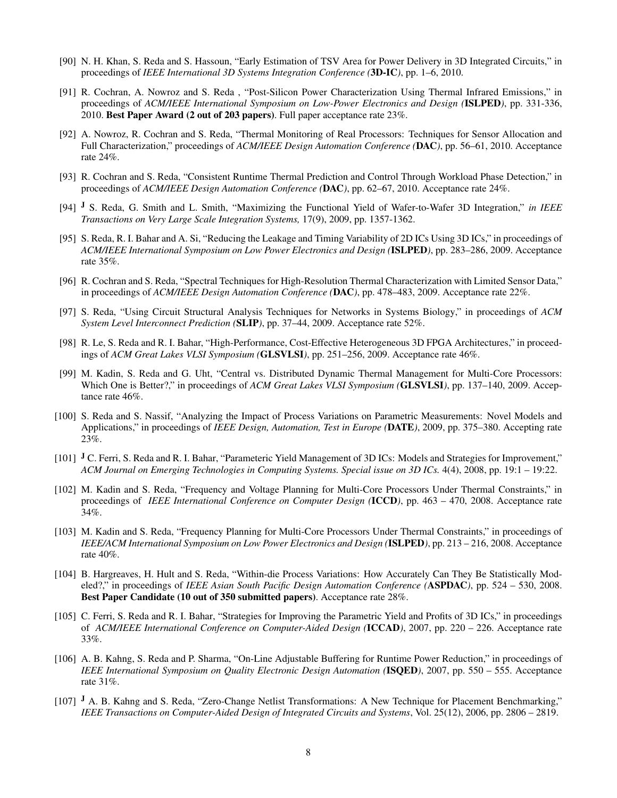- [90] N. H. Khan, S. Reda and S. Hassoun, "Early Estimation of TSV Area for Power Delivery in 3D Integrated Circuits," in proceedings of *IEEE International 3D Systems Integration Conference (*3D-IC*)*, pp. 1–6, 2010.
- [91] R. Cochran, A. Nowroz and S. Reda , "Post-Silicon Power Characterization Using Thermal Infrared Emissions," in proceedings of *ACM/IEEE International Symposium on Low-Power Electronics and Design (*ISLPED*)*, pp. 331-336, 2010. Best Paper Award (2 out of 203 papers). Full paper acceptance rate 23%.
- [92] A. Nowroz, R. Cochran and S. Reda, "Thermal Monitoring of Real Processors: Techniques for Sensor Allocation and Full Characterization," proceedings of *ACM/IEEE Design Automation Conference (*DAC*)*, pp. 56–61, 2010. Acceptance rate 24%.
- [93] R. Cochran and S. Reda, "Consistent Runtime Thermal Prediction and Control Through Workload Phase Detection," in proceedings of *ACM/IEEE Design Automation Conference (*DAC*)*, pp. 62–67, 2010. Acceptance rate 24%.
- [94] <sup>J</sup> S. Reda, G. Smith and L. Smith, "Maximizing the Functional Yield of Wafer-to-Wafer 3D Integration," *in IEEE Transactions on Very Large Scale Integration Systems,* 17(9), 2009, pp. 1357-1362.
- [95] S. Reda, R. I. Bahar and A. Si, "Reducing the Leakage and Timing Variability of 2D ICs Using 3D ICs," in proceedings of *ACM/IEEE International Symposium on Low Power Electronics and Design (*ISLPED*)*, pp. 283–286, 2009. Acceptance rate 35%.
- [96] R. Cochran and S. Reda, "Spectral Techniques for High-Resolution Thermal Characterization with Limited Sensor Data," in proceedings of *ACM/IEEE Design Automation Conference (*DAC*)*, pp. 478–483, 2009. Acceptance rate 22%.
- [97] S. Reda, "Using Circuit Structural Analysis Techniques for Networks in Systems Biology," in proceedings of *ACM System Level Interconnect Prediction (*SLIP*)*, pp. 37–44, 2009. Acceptance rate 52%.
- [98] R. Le, S. Reda and R. I. Bahar, "High-Performance, Cost-Effective Heterogeneous 3D FPGA Architectures," in proceedings of *ACM Great Lakes VLSI Symposium (*GLSVLSI*)*, pp. 251–256, 2009. Acceptance rate 46%.
- [99] M. Kadin, S. Reda and G. Uht, "Central vs. Distributed Dynamic Thermal Management for Multi-Core Processors: Which One is Better?," in proceedings of *ACM Great Lakes VLSI Symposium (*GLSVLSI*)*, pp. 137–140, 2009. Acceptance rate 46%.
- [100] S. Reda and S. Nassif, "Analyzing the Impact of Process Variations on Parametric Measurements: Novel Models and Applications," in proceedings of *IEEE Design, Automation, Test in Europe (*DATE*)*, 2009, pp. 375–380. Accepting rate 23%.
- [101] <sup>J</sup> C. Ferri, S. Reda and R. I. Bahar, "Parameteric Yield Management of 3D ICs: Models and Strategies for Improvement," *ACM Journal on Emerging Technologies in Computing Systems. Special issue on 3D ICs.* 4(4), 2008, pp. 19:1 – 19:22.
- [102] M. Kadin and S. Reda, "Frequency and Voltage Planning for Multi-Core Processors Under Thermal Constraints," in proceedings of *IEEE International Conference on Computer Design (*ICCD*)*, pp. 463 – 470, 2008. Acceptance rate 34%.
- [103] M. Kadin and S. Reda, "Frequency Planning for Multi-Core Processors Under Thermal Constraints," in proceedings of *IEEE/ACM International Symposium on Low Power Electronics and Design (*ISLPED*)*, pp. 213 – 216, 2008. Acceptance rate 40%.
- [104] B. Hargreaves, H. Hult and S. Reda, "Within-die Process Variations: How Accurately Can They Be Statistically Modeled?," in proceedings of *IEEE Asian South Pacific Design Automation Conference (*ASPDAC*)*, pp. 524 – 530, 2008. Best Paper Candidate (10 out of 350 submitted papers). Acceptance rate 28%.
- [105] C. Ferri, S. Reda and R. I. Bahar, "Strategies for Improving the Parametric Yield and Profits of 3D ICs," in proceedings of *ACM/IEEE International Conference on Computer-Aided Design (*ICCAD*)*, 2007, pp. 220 – 226. Acceptance rate 33%.
- [106] A. B. Kahng, S. Reda and P. Sharma, "On-Line Adjustable Buffering for Runtime Power Reduction," in proceedings of *IEEE International Symposium on Quality Electronic Design Automation (*ISQED*)*, 2007, pp. 550 – 555. Acceptance rate 31%.
- [107] <sup>J</sup> A. B. Kahng and S. Reda, "Zero-Change Netlist Transformations: A New Technique for Placement Benchmarking," *IEEE Transactions on Computer-Aided Design of Integrated Circuits and Systems*, Vol. 25(12), 2006, pp. 2806 – 2819.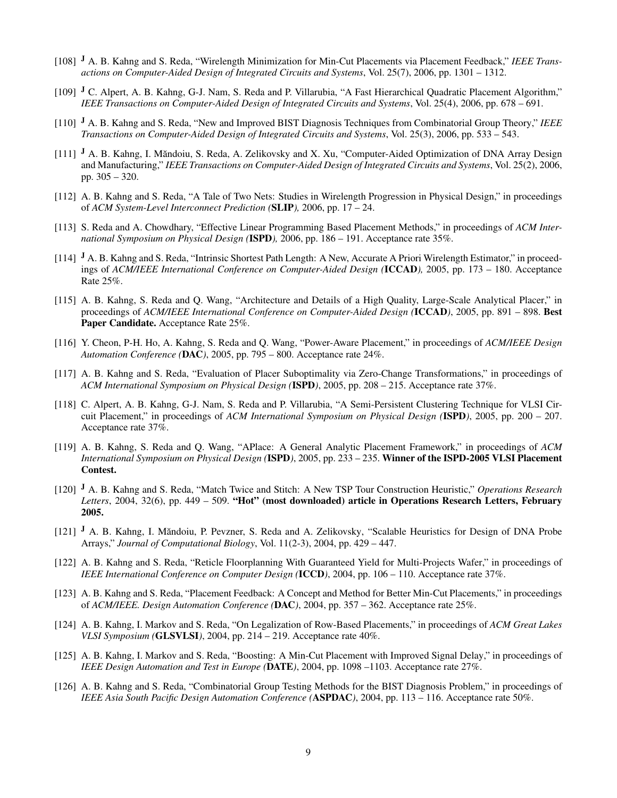- [108] <sup>J</sup> A. B. Kahng and S. Reda, "Wirelength Minimization for Min-Cut Placements via Placement Feedback," *IEEE Transactions on Computer-Aided Design of Integrated Circuits and Systems*, Vol. 25(7), 2006, pp. 1301 – 1312.
- [109] J C. Alpert, A. B. Kahng, G-J. Nam, S. Reda and P. Villarubia, "A Fast Hierarchical Quadratic Placement Algorithm," *IEEE Transactions on Computer-Aided Design of Integrated Circuits and Systems*, Vol. 25(4), 2006, pp. 678 – 691.
- [110] <sup>J</sup> A. B. Kahng and S. Reda, "New and Improved BIST Diagnosis Techniques from Combinatorial Group Theory," *IEEE Transactions on Computer-Aided Design of Integrated Circuits and Systems*, Vol. 25(3), 2006, pp. 533 – 543.
- $[111]$  J A. B. Kahng, I. Măndoiu, S. Reda, A. Zelikovsky and X. Xu, "Computer-Aided Optimization of DNA Array Design and Manufacturing," *IEEE Transactions on Computer-Aided Design of Integrated Circuits and Systems*, Vol. 25(2), 2006, pp. 305 – 320.
- [112] A. B. Kahng and S. Reda, "A Tale of Two Nets: Studies in Wirelength Progression in Physical Design," in proceedings of *ACM System-Level Interconnect Prediction (*SLIP*),* 2006, pp. 17 – 24.
- [113] S. Reda and A. Chowdhary, "Effective Linear Programming Based Placement Methods," in proceedings of *ACM International Symposium on Physical Design (*ISPD*),* 2006, pp. 186 – 191. Acceptance rate 35%.
- [114] J A. B. Kahng and S. Reda, "Intrinsic Shortest Path Length: A New, Accurate A Priori Wirelength Estimator," in proceedings of *ACM/IEEE International Conference on Computer-Aided Design (*ICCAD*),* 2005, pp. 173 – 180. Acceptance Rate 25%.
- [115] A. B. Kahng, S. Reda and Q. Wang, "Architecture and Details of a High Quality, Large-Scale Analytical Placer," in proceedings of *ACM/IEEE International Conference on Computer-Aided Design (*ICCAD*)*, 2005, pp. 891 – 898. Best Paper Candidate. Acceptance Rate 25%.
- [116] Y. Cheon, P-H. Ho, A. Kahng, S. Reda and Q. Wang, "Power-Aware Placement," in proceedings of *ACM/IEEE Design Automation Conference (*DAC*)*, 2005, pp. 795 – 800. Acceptance rate 24%.
- [117] A. B. Kahng and S. Reda, "Evaluation of Placer Suboptimality via Zero-Change Transformations," in proceedings of *ACM International Symposium on Physical Design (*ISPD*)*, 2005, pp. 208 – 215. Acceptance rate 37%.
- [118] C. Alpert, A. B. Kahng, G-J. Nam, S. Reda and P. Villarubia, "A Semi-Persistent Clustering Technique for VLSI Circuit Placement," in proceedings of *ACM International Symposium on Physical Design (*ISPD*)*, 2005, pp. 200 – 207. Acceptance rate 37%.
- [119] A. B. Kahng, S. Reda and Q. Wang, "APlace: A General Analytic Placement Framework," in proceedings of *ACM International Symposium on Physical Design (*ISPD*)*, 2005, pp. 233 – 235. Winner of the ISPD-2005 VLSI Placement Contest.
- [120] <sup>J</sup> A. B. Kahng and S. Reda, "Match Twice and Stitch: A New TSP Tour Construction Heuristic," *Operations Research Letters*, 2004, 32(6), pp. 449 – 509. "Hot" (most downloaded) article in Operations Research Letters, February 2005.
- $[121]$  J A. B. Kahng, I. Măndoiu, P. Pevzner, S. Reda and A. Zelikovsky, "Scalable Heuristics for Design of DNA Probe Arrays," *Journal of Computational Biology*, Vol. 11(2-3), 2004, pp. 429 – 447.
- [122] A. B. Kahng and S. Reda, "Reticle Floorplanning With Guaranteed Yield for Multi-Projects Wafer," in proceedings of *IEEE International Conference on Computer Design (*ICCD*)*, 2004, pp. 106 – 110. Acceptance rate 37%.
- [123] A. B. Kahng and S. Reda, "Placement Feedback: A Concept and Method for Better Min-Cut Placements," in proceedings of *ACM/IEEE. Design Automation Conference (*DAC*)*, 2004, pp. 357 – 362. Acceptance rate 25%.
- [124] A. B. Kahng, I. Markov and S. Reda, "On Legalization of Row-Based Placements," in proceedings of *ACM Great Lakes VLSI Symposium (*GLSVLSI*)*, 2004, pp. 214 – 219. Acceptance rate 40%.
- [125] A. B. Kahng, I. Markov and S. Reda, "Boosting: A Min-Cut Placement with Improved Signal Delay," in proceedings of *IEEE Design Automation and Test in Europe (*DATE*)*, 2004, pp. 1098 –1103. Acceptance rate 27%.
- [126] A. B. Kahng and S. Reda, "Combinatorial Group Testing Methods for the BIST Diagnosis Problem," in proceedings of *IEEE Asia South Pacific Design Automation Conference (*ASPDAC*)*, 2004, pp. 113 – 116. Acceptance rate 50%.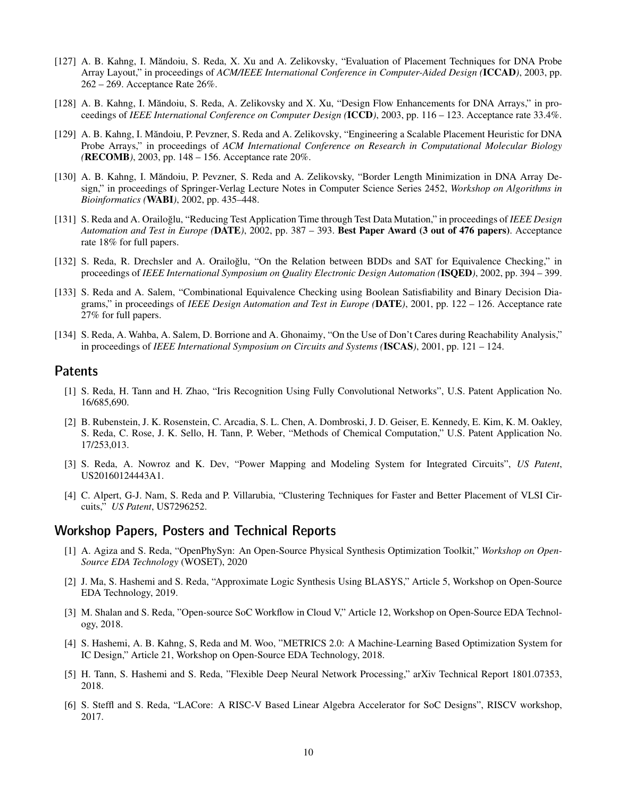- [127] A. B. Kahng, I. Măndoiu, S. Reda, X. Xu and A. Zelikovsky, "Evaluation of Placement Techniques for DNA Probe Array Layout," in proceedings of *ACM/IEEE International Conference in Computer-Aided Design (*ICCAD*)*, 2003, pp. 262 – 269. Acceptance Rate 26%.
- [128] A. B. Kahng, I. Măndoiu, S. Reda, A. Zelikovsky and X. Xu, "Design Flow Enhancements for DNA Arrays," in proceedings of *IEEE International Conference on Computer Design (*ICCD*)*, 2003, pp. 116 – 123. Acceptance rate 33.4%.
- [129] A. B. Kahng, I. Măndoiu, P. Pevzner, S. Reda and A. Zelikovsky, "Engineering a Scalable Placement Heuristic for DNA Probe Arrays," in proceedings of *ACM International Conference on Research in Computational Molecular Biology (*RECOMB*)*, 2003, pp. 148 – 156. Acceptance rate 20%.
- [130] A. B. Kahng, I. Măndoiu, P. Pevzner, S. Reda and A. Zelikovsky, "Border Length Minimization in DNA Array Design," in proceedings of Springer-Verlag Lecture Notes in Computer Science Series 2452, *Workshop on Algorithms in Bioinformatics (*WABI*)*, 2002, pp. 435–448.
- [131] S. Reda and A. Orailoğlu, "Reducing Test Application Time through Test Data Mutation," in proceedings of *IEEE Design Automation and Test in Europe (*DATE*)*, 2002, pp. 387 – 393. Best Paper Award (3 out of 476 papers). Acceptance rate 18% for full papers.
- [132] S. Reda, R. Drechsler and A. Orailoglu, "On the Relation between BDDs and SAT for Equivalence Checking," in proceedings of *IEEE International Symposium on Quality Electronic Design Automation (*ISQED*)*, 2002, pp. 394 – 399.
- [133] S. Reda and A. Salem, "Combinational Equivalence Checking using Boolean Satisfiability and Binary Decision Diagrams," in proceedings of *IEEE Design Automation and Test in Europe (*DATE*)*, 2001, pp. 122 – 126. Acceptance rate 27% for full papers.
- [134] S. Reda, A. Wahba, A. Salem, D. Borrione and A. Ghonaimy, "On the Use of Don't Cares during Reachability Analysis," in proceedings of *IEEE International Symposium on Circuits and Systems (*ISCAS*)*, 2001, pp. 121 – 124.

#### Patents

- [1] S. Reda, H. Tann and H. Zhao, "Iris Recognition Using Fully Convolutional Networks", U.S. Patent Application No. 16/685,690.
- [2] B. Rubenstein, J. K. Rosenstein, C. Arcadia, S. L. Chen, A. Dombroski, J. D. Geiser, E. Kennedy, E. Kim, K. M. Oakley, S. Reda, C. Rose, J. K. Sello, H. Tann, P. Weber, "Methods of Chemical Computation," U.S. Patent Application No. 17/253,013.
- [3] S. Reda, A. Nowroz and K. Dev, "Power Mapping and Modeling System for Integrated Circuits", *US Patent*, US20160124443A1.
- [4] C. Alpert, G-J. Nam, S. Reda and P. Villarubia, "Clustering Techniques for Faster and Better Placement of VLSI Circuits," *US Patent*, US7296252.

#### Workshop Papers, Posters and Technical Reports

- [1] A. Agiza and S. Reda, "OpenPhySyn: An Open-Source Physical Synthesis Optimization Toolkit," *Workshop on Open-Source EDA Technology* (WOSET), 2020
- [2] J. Ma, S. Hashemi and S. Reda, "Approximate Logic Synthesis Using BLASYS," Article 5, Workshop on Open-Source EDA Technology, 2019.
- [3] M. Shalan and S. Reda, "Open-source SoC Workflow in Cloud V," Article 12, Workshop on Open-Source EDA Technology, 2018.
- [4] S. Hashemi, A. B. Kahng, S, Reda and M. Woo, "METRICS 2.0: A Machine-Learning Based Optimization System for IC Design," Article 21, Workshop on Open-Source EDA Technology, 2018.
- [5] H. Tann, S. Hashemi and S. Reda, "Flexible Deep Neural Network Processing," arXiv Technical Report 1801.07353, 2018.
- [6] S. Steffl and S. Reda, "LACore: A RISC-V Based Linear Algebra Accelerator for SoC Designs", RISCV workshop, 2017.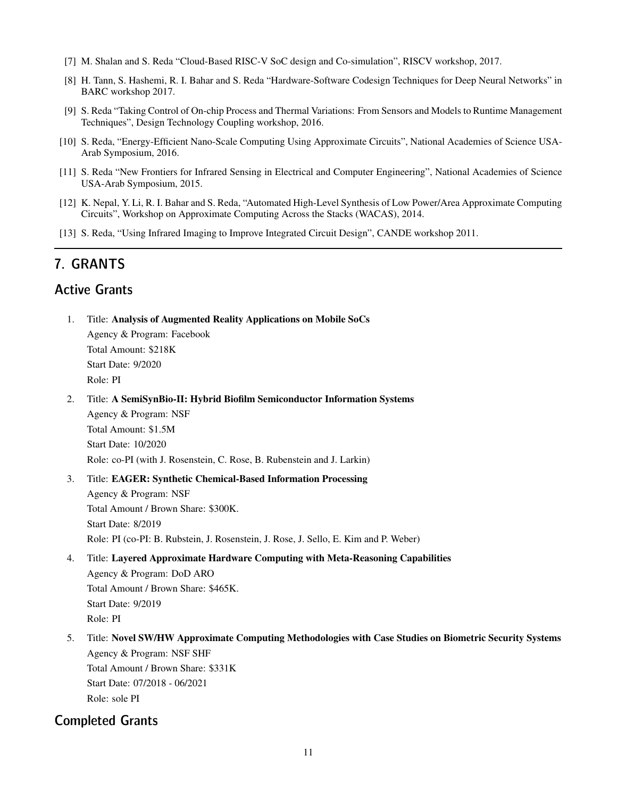- [7] M. Shalan and S. Reda "Cloud-Based RISC-V SoC design and Co-simulation", RISCV workshop, 2017.
- [8] H. Tann, S. Hashemi, R. I. Bahar and S. Reda "Hardware-Software Codesign Techniques for Deep Neural Networks" in BARC workshop 2017.
- [9] S. Reda "Taking Control of On-chip Process and Thermal Variations: From Sensors and Models to Runtime Management Techniques", Design Technology Coupling workshop, 2016.
- [10] S. Reda, "Energy-Efficient Nano-Scale Computing Using Approximate Circuits", National Academies of Science USA-Arab Symposium, 2016.
- [11] S. Reda "New Frontiers for Infrared Sensing in Electrical and Computer Engineering", National Academies of Science USA-Arab Symposium, 2015.
- [12] K. Nepal, Y. Li, R. I. Bahar and S. Reda, "Automated High-Level Synthesis of Low Power/Area Approximate Computing Circuits", Workshop on Approximate Computing Across the Stacks (WACAS), 2014.
- [13] S. Reda, "Using Infrared Imaging to Improve Integrated Circuit Design", CANDE workshop 2011.

### 7. GRANTS

### Active Grants

- 1. Title: Analysis of Augmented Reality Applications on Mobile SoCs Agency & Program: Facebook Total Amount: \$218K Start Date: 9/2020 Role: PI
- 2. Title: A SemiSynBio-II: Hybrid Biofilm Semiconductor Information Systems

Agency & Program: NSF Total Amount: \$1.5M Start Date: 10/2020 Role: co-PI (with J. Rosenstein, C. Rose, B. Rubenstein and J. Larkin)

- 3. Title: EAGER: Synthetic Chemical-Based Information Processing Agency & Program: NSF Total Amount / Brown Share: \$300K. Start Date: 8/2019 Role: PI (co-PI: B. Rubstein, J. Rosenstein, J. Rose, J. Sello, E. Kim and P. Weber)
- 4. Title: Layered Approximate Hardware Computing with Meta-Reasoning Capabilities Agency & Program: DoD ARO Total Amount / Brown Share: \$465K. Start Date: 9/2019

Role: PI

5. Title: Novel SW/HW Approximate Computing Methodologies with Case Studies on Biometric Security Systems Agency & Program: NSF SHF

Total Amount / Brown Share: \$331K Start Date: 07/2018 - 06/2021 Role: sole PI

#### Completed Grants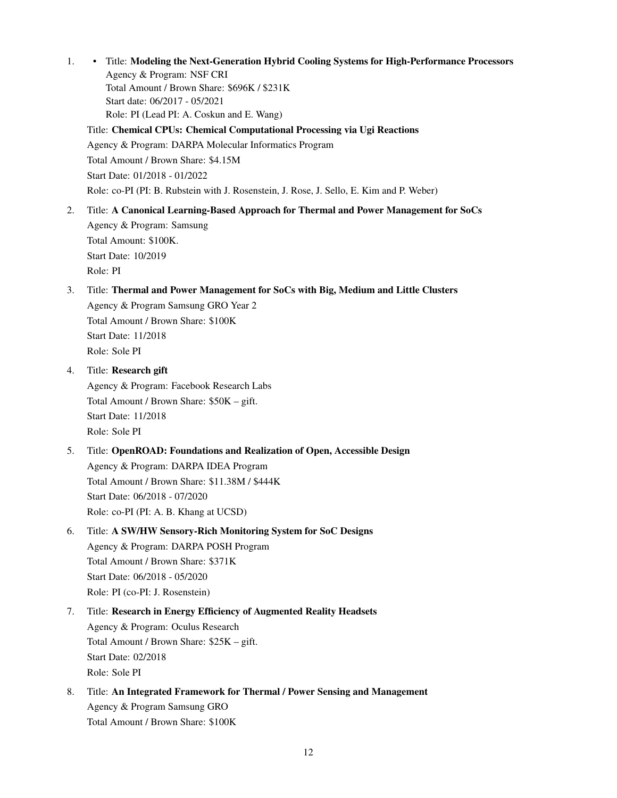1. • Title: Modeling the Next-Generation Hybrid Cooling Systems for High-Performance Processors Agency & Program: NSF CRI

Total Amount / Brown Share: \$696K / \$231K Start date: 06/2017 - 05/2021 Role: PI (Lead PI: A. Coskun and E. Wang)

Title: Chemical CPUs: Chemical Computational Processing via Ugi Reactions

Agency & Program: DARPA Molecular Informatics Program

Total Amount / Brown Share: \$4.15M

Start Date: 01/2018 - 01/2022

Role: co-PI (PI: B. Rubstein with J. Rosenstein, J. Rose, J. Sello, E. Kim and P. Weber)

2. Title: A Canonical Learning-Based Approach for Thermal and Power Management for SoCs

Agency & Program: Samsung Total Amount: \$100K. Start Date: 10/2019 Role: PI

### 3. Title: Thermal and Power Management for SoCs with Big, Medium and Little Clusters

Agency & Program Samsung GRO Year 2 Total Amount / Brown Share: \$100K Start Date: 11/2018 Role: Sole PI

4. Title: Research gift

Agency & Program: Facebook Research Labs Total Amount / Brown Share: \$50K – gift. Start Date: 11/2018 Role: Sole PI

### 5. Title: OpenROAD: Foundations and Realization of Open, Accessible Design Agency & Program: DARPA IDEA Program Total Amount / Brown Share: \$11.38M / \$444K Start Date: 06/2018 - 07/2020 Role: co-PI (PI: A. B. Khang at UCSD)

### 6. Title: A SW/HW Sensory-Rich Monitoring System for SoC Designs Agency & Program: DARPA POSH Program Total Amount / Brown Share: \$371K Start Date: 06/2018 - 05/2020 Role: PI (co-PI: J. Rosenstein)

### 7. Title: Research in Energy Efficiency of Augmented Reality Headsets Agency & Program: Oculus Research Total Amount / Brown Share: \$25K – gift. Start Date: 02/2018 Role: Sole PI

8. Title: An Integrated Framework for Thermal / Power Sensing and Management Agency & Program Samsung GRO Total Amount / Brown Share: \$100K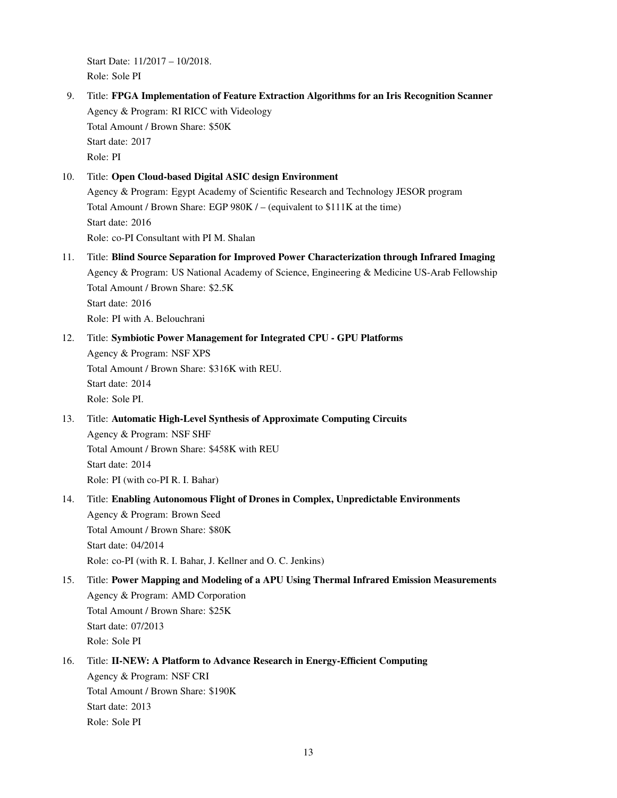Start Date: 11/2017 – 10/2018. Role: Sole PI

9. Title: FPGA Implementation of Feature Extraction Algorithms for an Iris Recognition Scanner Agency & Program: RI RICC with Videology Total Amount / Brown Share: \$50K Start date: 2017 Role: PI

#### 10. Title: Open Cloud-based Digital ASIC design Environment Agency & Program: Egypt Academy of Scientific Research and Technology JESOR program Total Amount / Brown Share: EGP 980K / – (equivalent to \$111K at the time) Start date: 2016 Role: co-PI Consultant with PI M. Shalan

- 11. Title: Blind Source Separation for Improved Power Characterization through Infrared Imaging Agency & Program: US National Academy of Science, Engineering & Medicine US-Arab Fellowship Total Amount / Brown Share: \$2.5K Start date: 2016 Role: PI with A. Belouchrani
- 12. Title: Symbiotic Power Management for Integrated CPU GPU Platforms Agency & Program: NSF XPS Total Amount / Brown Share: \$316K with REU. Start date: 2014 Role: Sole PI.
- 13. Title: Automatic High-Level Synthesis of Approximate Computing Circuits Agency & Program: NSF SHF

Total Amount / Brown Share: \$458K with REU Start date: 2014 Role: PI (with co-PI R. I. Bahar)

- 14. Title: Enabling Autonomous Flight of Drones in Complex, Unpredictable Environments Agency & Program: Brown Seed Total Amount / Brown Share: \$80K Start date: 04/2014 Role: co-PI (with R. I. Bahar, J. Kellner and O. C. Jenkins)
- 15. Title: Power Mapping and Modeling of a APU Using Thermal Infrared Emission Measurements Agency & Program: AMD Corporation Total Amount / Brown Share: \$25K Start date: 07/2013 Role: Sole PI
- 16. Title: II-NEW: A Platform to Advance Research in Energy-Efficient Computing Agency & Program: NSF CRI Total Amount / Brown Share: \$190K Start date: 2013 Role: Sole PI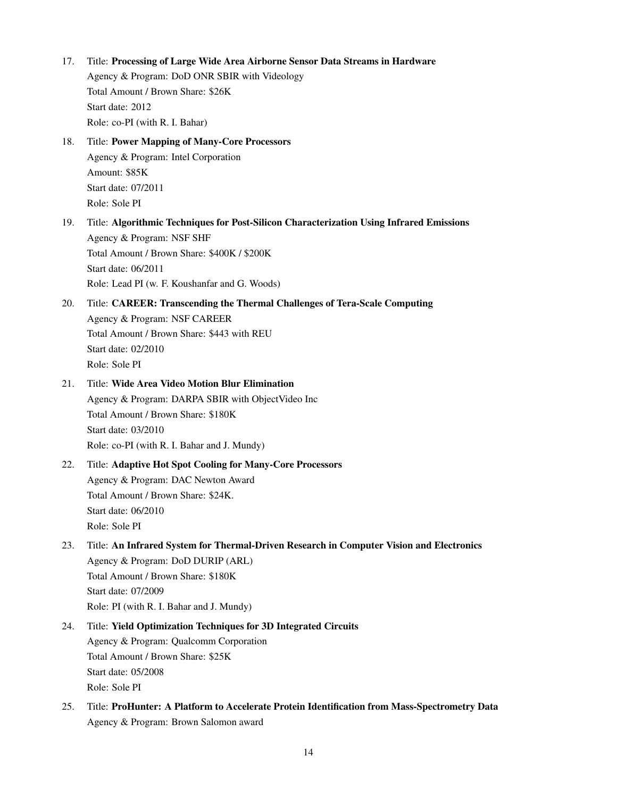17. Title: Processing of Large Wide Area Airborne Sensor Data Streams in Hardware Agency & Program: DoD ONR SBIR with Videology Total Amount / Brown Share: \$26K Start date: 2012 Role: co-PI (with R. I. Bahar) 18. Title: Power Mapping of Many-Core Processors Agency & Program: Intel Corporation Amount: \$85K Start date: 07/2011 Role: Sole PI 19. Title: Algorithmic Techniques for Post-Silicon Characterization Using Infrared Emissions Agency & Program: NSF SHF Total Amount / Brown Share: \$400K / \$200K Start date: 06/2011 Role: Lead PI (w. F. Koushanfar and G. Woods) 20. Title: CAREER: Transcending the Thermal Challenges of Tera-Scale Computing Agency & Program: NSF CAREER Total Amount / Brown Share: \$443 with REU Start date: 02/2010 Role: Sole PI 21. Title: Wide Area Video Motion Blur Elimination Agency & Program: DARPA SBIR with ObjectVideo Inc Total Amount / Brown Share: \$180K Start date: 03/2010 Role: co-PI (with R. I. Bahar and J. Mundy) 22. Title: Adaptive Hot Spot Cooling for Many-Core Processors Agency & Program: DAC Newton Award Total Amount / Brown Share: \$24K. Start date: 06/2010 Role: Sole PI 23. Title: An Infrared System for Thermal-Driven Research in Computer Vision and Electronics Agency & Program: DoD DURIP (ARL) Total Amount / Brown Share: \$180K Start date: 07/2009 Role: PI (with R. I. Bahar and J. Mundy) 24. Title: Yield Optimization Techniques for 3D Integrated Circuits Agency & Program: Qualcomm Corporation Total Amount / Brown Share: \$25K Start date: 05/2008 Role: Sole PI 25. Title: ProHunter: A Platform to Accelerate Protein Identification from Mass-Spectrometry Data Agency & Program: Brown Salomon award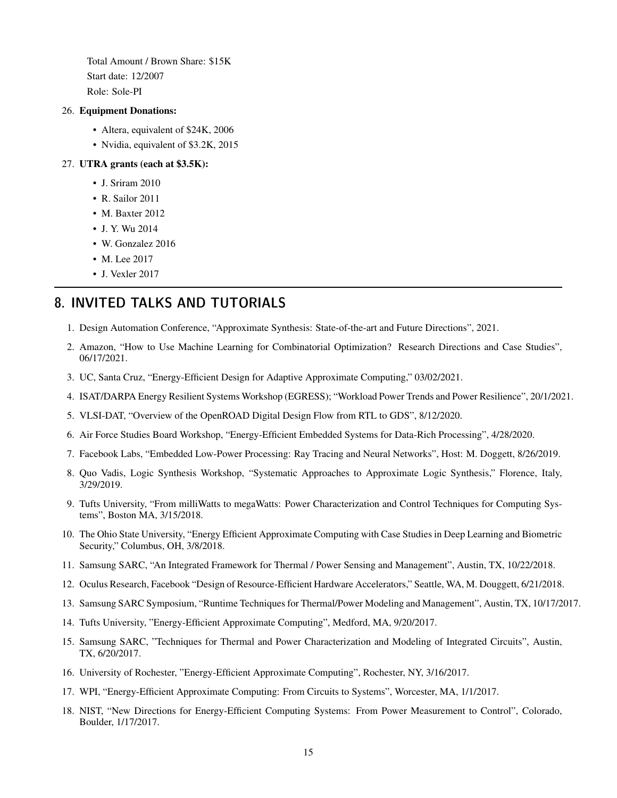Total Amount / Brown Share: \$15K Start date: 12/2007 Role: Sole-PI

#### 26. Equipment Donations:

- Altera, equivalent of \$24K, 2006
- Nvidia, equivalent of \$3.2K, 2015

#### 27. UTRA grants (each at \$3.5K):

- J. Sriram 2010
- R. Sailor 2011
- M. Baxter 2012
- J. Y. Wu 2014
- W. Gonzalez 2016
- M. Lee 2017
- J. Vexler 2017

### 8. INVITED TALKS AND TUTORIALS

- 1. Design Automation Conference, "Approximate Synthesis: State-of-the-art and Future Directions", 2021.
- 2. Amazon, "How to Use Machine Learning for Combinatorial Optimization? Research Directions and Case Studies", 06/17/2021.
- 3. UC, Santa Cruz, "Energy-Efficient Design for Adaptive Approximate Computing," 03/02/2021.
- 4. ISAT/DARPA Energy Resilient Systems Workshop (EGRESS); "Workload Power Trends and Power Resilience", 20/1/2021.
- 5. VLSI-DAT, "Overview of the OpenROAD Digital Design Flow from RTL to GDS", 8/12/2020.
- 6. Air Force Studies Board Workshop, "Energy-Efficient Embedded Systems for Data-Rich Processing", 4/28/2020.
- 7. Facebook Labs, "Embedded Low-Power Processing: Ray Tracing and Neural Networks", Host: M. Doggett, 8/26/2019.
- 8. Quo Vadis, Logic Synthesis Workshop, "Systematic Approaches to Approximate Logic Synthesis," Florence, Italy, 3/29/2019.
- 9. Tufts University, "From milliWatts to megaWatts: Power Characterization and Control Techniques for Computing Systems", Boston MA, 3/15/2018.
- 10. The Ohio State University, "Energy Efficient Approximate Computing with Case Studies in Deep Learning and Biometric Security," Columbus, OH, 3/8/2018.
- 11. Samsung SARC, "An Integrated Framework for Thermal / Power Sensing and Management", Austin, TX, 10/22/2018.
- 12. Oculus Research, Facebook "Design of Resource-Efficient Hardware Accelerators," Seattle, WA, M. Douggett, 6/21/2018.
- 13. Samsung SARC Symposium, "Runtime Techniques for Thermal/Power Modeling and Management", Austin, TX, 10/17/2017.
- 14. Tufts University, "Energy-Efficient Approximate Computing", Medford, MA, 9/20/2017.
- 15. Samsung SARC, "Techniques for Thermal and Power Characterization and Modeling of Integrated Circuits", Austin, TX, 6/20/2017.
- 16. University of Rochester, "Energy-Efficient Approximate Computing", Rochester, NY, 3/16/2017.
- 17. WPI, "Energy-Efficient Approximate Computing: From Circuits to Systems", Worcester, MA, 1/1/2017.
- 18. NIST, "New Directions for Energy-Efficient Computing Systems: From Power Measurement to Control", Colorado, Boulder, 1/17/2017.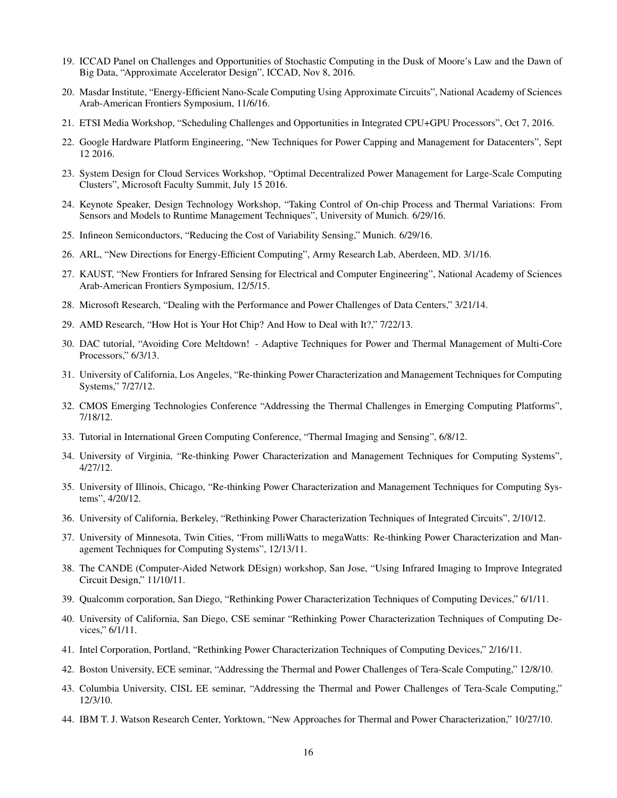- 19. ICCAD Panel on Challenges and Opportunities of Stochastic Computing in the Dusk of Moore's Law and the Dawn of Big Data, "Approximate Accelerator Design", ICCAD, Nov 8, 2016.
- 20. Masdar Institute, "Energy-Efficient Nano-Scale Computing Using Approximate Circuits", National Academy of Sciences Arab-American Frontiers Symposium, 11/6/16.
- 21. ETSI Media Workshop, "Scheduling Challenges and Opportunities in Integrated CPU+GPU Processors", Oct 7, 2016.
- 22. Google Hardware Platform Engineering, "New Techniques for Power Capping and Management for Datacenters", Sept 12 2016.
- 23. System Design for Cloud Services Workshop, "Optimal Decentralized Power Management for Large-Scale Computing Clusters", Microsoft Faculty Summit, July 15 2016.
- 24. Keynote Speaker, Design Technology Workshop, "Taking Control of On-chip Process and Thermal Variations: From Sensors and Models to Runtime Management Techniques", University of Munich. 6/29/16.
- 25. Infineon Semiconductors, "Reducing the Cost of Variability Sensing," Munich. 6/29/16.
- 26. ARL, "New Directions for Energy-Efficient Computing", Army Research Lab, Aberdeen, MD. 3/1/16.
- 27. KAUST, "New Frontiers for Infrared Sensing for Electrical and Computer Engineering", National Academy of Sciences Arab-American Frontiers Symposium, 12/5/15.
- 28. Microsoft Research, "Dealing with the Performance and Power Challenges of Data Centers," 3/21/14.
- 29. AMD Research, "How Hot is Your Hot Chip? And How to Deal with It?," 7/22/13.
- 30. DAC tutorial, "Avoiding Core Meltdown! Adaptive Techniques for Power and Thermal Management of Multi-Core Processors," 6/3/13.
- 31. University of California, Los Angeles, "Re-thinking Power Characterization and Management Techniques for Computing Systems," 7/27/12.
- 32. CMOS Emerging Technologies Conference "Addressing the Thermal Challenges in Emerging Computing Platforms", 7/18/12.
- 33. Tutorial in International Green Computing Conference, "Thermal Imaging and Sensing", 6/8/12.
- 34. University of Virginia, "Re-thinking Power Characterization and Management Techniques for Computing Systems", 4/27/12.
- 35. University of Illinois, Chicago, "Re-thinking Power Characterization and Management Techniques for Computing Systems", 4/20/12.
- 36. University of California, Berkeley, "Rethinking Power Characterization Techniques of Integrated Circuits", 2/10/12.
- 37. University of Minnesota, Twin Cities, "From milliWatts to megaWatts: Re-thinking Power Characterization and Management Techniques for Computing Systems", 12/13/11.
- 38. The CANDE (Computer-Aided Network DEsign) workshop, San Jose, "Using Infrared Imaging to Improve Integrated Circuit Design," 11/10/11.
- 39. Qualcomm corporation, San Diego, "Rethinking Power Characterization Techniques of Computing Devices," 6/1/11.
- 40. University of California, San Diego, CSE seminar "Rethinking Power Characterization Techniques of Computing Devices," 6/1/11.
- 41. Intel Corporation, Portland, "Rethinking Power Characterization Techniques of Computing Devices," 2/16/11.
- 42. Boston University, ECE seminar, "Addressing the Thermal and Power Challenges of Tera-Scale Computing," 12/8/10.
- 43. Columbia University, CISL EE seminar, "Addressing the Thermal and Power Challenges of Tera-Scale Computing," 12/3/10.
- 44. IBM T. J. Watson Research Center, Yorktown, "New Approaches for Thermal and Power Characterization," 10/27/10.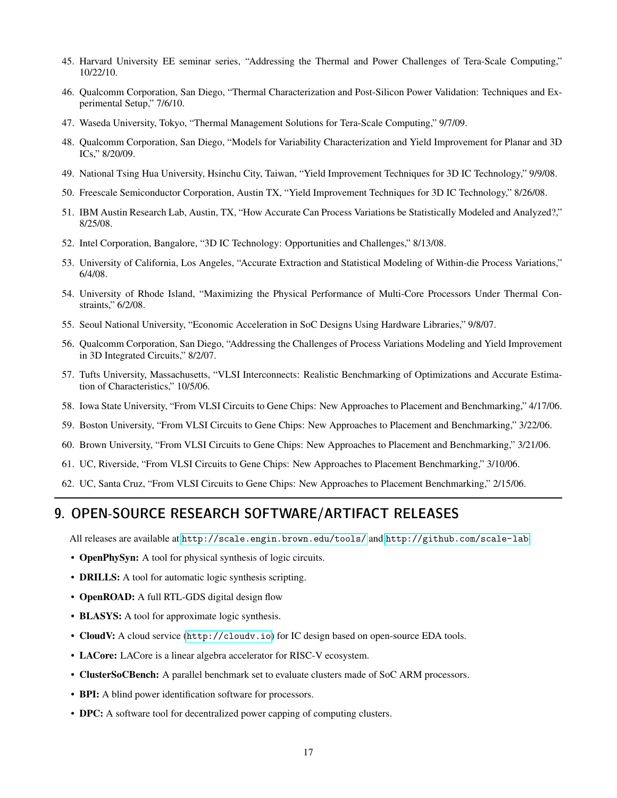- 45. Harvard University EE seminar series, "Addressing the Thermal and Power Challenges of Tera-Scale Computing," 10/22/10.
- 46. Qualcomm Corporation, San Diego, "Thermal Characterization and Post-Silicon Power Validation: Techniques and Experimental Setup," 7/6/10.
- 47. Waseda University, Tokyo, "Thermal Management Solutions for Tera-Scale Computing," 9/7/09.
- 48. Qualcomm Corporation, San Diego, "Models for Variability Characterization and Yield Improvement for Planar and 3D ICs," 8/20/09.
- 49. National Tsing Hua University, Hsinchu City, Taiwan, "Yield Improvement Techniques for 3D IC Technology," 9/9/08.
- 50. Freescale Semiconductor Corporation, Austin TX, "Yield Improvement Techniques for 3D IC Technology," 8/26/08.
- 51. IBM Austin Research Lab, Austin, TX, "How Accurate Can Process Variations be Statistically Modeled and Analyzed?," 8/25/08.
- 52. Intel Corporation, Bangalore, "3D IC Technology: Opportunities and Challenges," 8/13/08.
- 53. University of California, Los Angeles, "Accurate Extraction and Statistical Modeling of Within-die Process Variations," 6/4/08.
- 54. University of Rhode Island, "Maximizing the Physical Performance of Multi-Core Processors Under Thermal Constraints," 6/2/08.
- 55. Seoul National University, "Economic Acceleration in SoC Designs Using Hardware Libraries," 9/8/07.
- 56. Qualcomm Corporation, San Diego, "Addressing the Challenges of Process Variations Modeling and Yield Improvement in 3D Integrated Circuits," 8/2/07.
- 57. Tufts University, Massachusetts, "VLSI Interconnects: Realistic Benchmarking of Optimizations and Accurate Estimation of Characteristics," 10/5/06.
- 58. Iowa State University, "From VLSI Circuits to Gene Chips: New Approaches to Placement and Benchmarking," 4/17/06.
- 59. Boston University, "From VLSI Circuits to Gene Chips: New Approaches to Placement and Benchmarking," 3/22/06.
- 60. Brown University, "From VLSI Circuits to Gene Chips: New Approaches to Placement and Benchmarking," 3/21/06.
- 61. UC, Riverside, "From VLSI Circuits to Gene Chips: New Approaches to Placement Benchmarking," 3/10/06.
- 62. UC, Santa Cruz, "From VLSI Circuits to Gene Chips: New Approaches to Placement Benchmarking," 2/15/06.

### 9. OPEN-SOURCE RESEARCH SOFTWARE/ARTIFACT RELEASES

All releases are available at <http://scale.engin.brown.edu/tools/> and <http://github.com/scale-lab>.

- OpenPhySyn: A tool for physical synthesis of logic circuits.
- **DRILLS:** A tool for automatic logic synthesis scripting.
- OpenROAD: A full RTL-GDS digital design flow
- **BLASYS:** A tool for approximate logic synthesis.
- CloudV: A cloud service (<http://cloudv.io>) for IC design based on open-source EDA tools.
- LACore: LACore is a linear algebra accelerator for RISC-V ecosystem.
- ClusterSoCBench: A parallel benchmark set to evaluate clusters made of SoC ARM processors.
- BPI: A blind power identification software for processors.
- DPC: A software tool for decentralized power capping of computing clusters.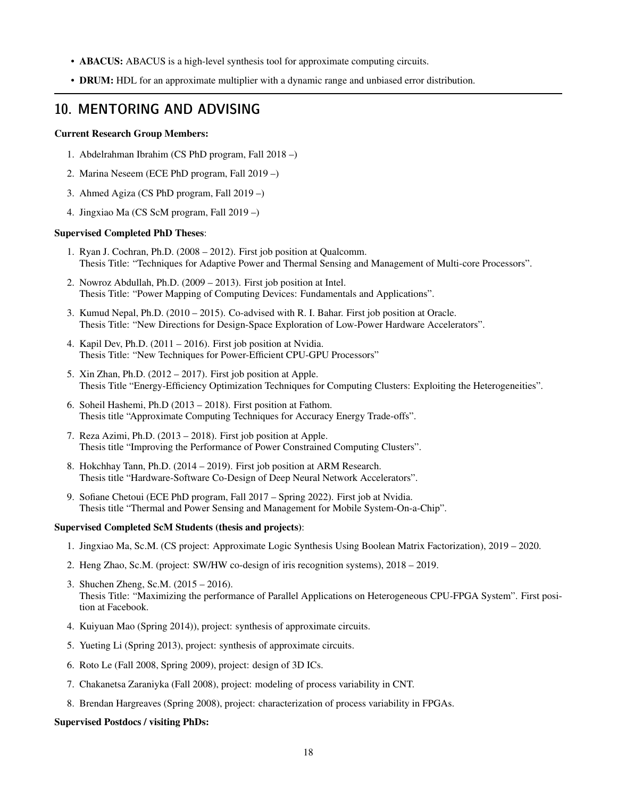- ABACUS: ABACUS is a high-level synthesis tool for approximate computing circuits.
- DRUM: HDL for an approximate multiplier with a dynamic range and unbiased error distribution.

## 10. MENTORING AND ADVISING

#### Current Research Group Members:

- 1. Abdelrahman Ibrahim (CS PhD program, Fall 2018 –)
- 2. Marina Neseem (ECE PhD program, Fall 2019 –)
- 3. Ahmed Agiza (CS PhD program, Fall 2019 –)
- 4. Jingxiao Ma (CS ScM program, Fall 2019 –)

#### Supervised Completed PhD Theses:

- 1. Ryan J. Cochran, Ph.D. (2008 2012). First job position at Qualcomm. Thesis Title: "Techniques for Adaptive Power and Thermal Sensing and Management of Multi-core Processors".
- 2. Nowroz Abdullah, Ph.D. (2009 2013). First job position at Intel. Thesis Title: "Power Mapping of Computing Devices: Fundamentals and Applications".
- 3. Kumud Nepal, Ph.D. (2010 2015). Co-advised with R. I. Bahar. First job position at Oracle. Thesis Title: "New Directions for Design-Space Exploration of Low-Power Hardware Accelerators".
- 4. Kapil Dev, Ph.D. (2011 2016). First job position at Nvidia. Thesis Title: "New Techniques for Power-Efficient CPU-GPU Processors"
- 5. Xin Zhan, Ph.D. (2012 2017). First job position at Apple. Thesis Title "Energy-Efficiency Optimization Techniques for Computing Clusters: Exploiting the Heterogeneities".
- 6. Soheil Hashemi, Ph.D (2013 2018). First position at Fathom. Thesis title "Approximate Computing Techniques for Accuracy Energy Trade-offs".
- 7. Reza Azimi, Ph.D. (2013 2018). First job position at Apple. Thesis title "Improving the Performance of Power Constrained Computing Clusters".
- 8. Hokchhay Tann, Ph.D. (2014 2019). First job position at ARM Research. Thesis title "Hardware-Software Co-Design of Deep Neural Network Accelerators".
- 9. Sofiane Chetoui (ECE PhD program, Fall 2017 Spring 2022). First job at Nvidia. Thesis title "Thermal and Power Sensing and Management for Mobile System-On-a-Chip".

#### Supervised Completed ScM Students (thesis and projects):

- 1. Jingxiao Ma, Sc.M. (CS project: Approximate Logic Synthesis Using Boolean Matrix Factorization), 2019 2020.
- 2. Heng Zhao, Sc.M. (project: SW/HW co-design of iris recognition systems), 2018 2019.
- 3. Shuchen Zheng, Sc.M. (2015 2016). Thesis Title: "Maximizing the performance of Parallel Applications on Heterogeneous CPU-FPGA System". First position at Facebook.
- 4. Kuiyuan Mao (Spring 2014)), project: synthesis of approximate circuits.
- 5. Yueting Li (Spring 2013), project: synthesis of approximate circuits.
- 6. Roto Le (Fall 2008, Spring 2009), project: design of 3D ICs.
- 7. Chakanetsa Zaraniyka (Fall 2008), project: modeling of process variability in CNT.
- 8. Brendan Hargreaves (Spring 2008), project: characterization of process variability in FPGAs.

#### Supervised Postdocs / visiting PhDs: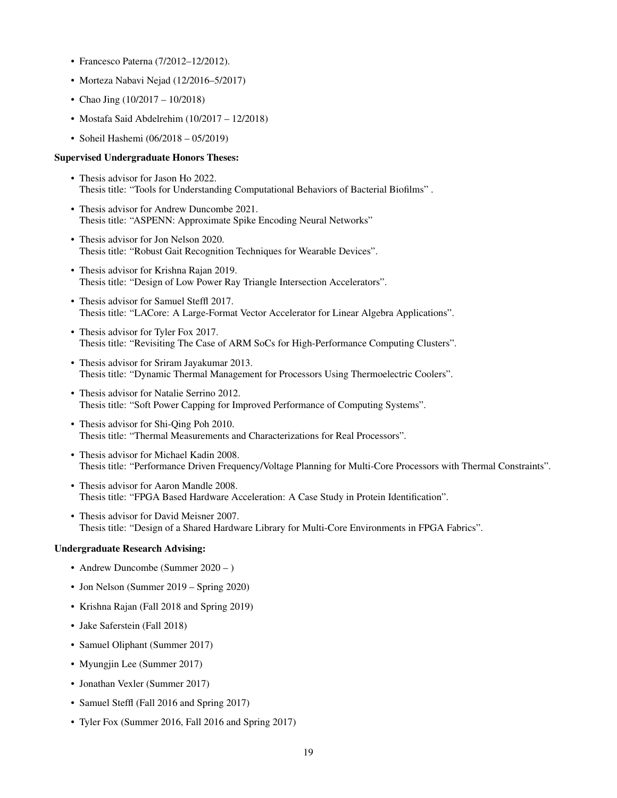- Francesco Paterna (7/2012–12/2012).
- Morteza Nabavi Nejad (12/2016–5/2017)
- Chao Jing (10/2017 10/2018)
- Mostafa Said Abdelrehim (10/2017 12/2018)
- Soheil Hashemi (06/2018 05/2019)

#### Supervised Undergraduate Honors Theses:

- Thesis advisor for Jason Ho 2022. Thesis title: "Tools for Understanding Computational Behaviors of Bacterial Biofilms" .
- Thesis advisor for Andrew Duncombe 2021. Thesis title: "ASPENN: Approximate Spike Encoding Neural Networks"
- Thesis advisor for Jon Nelson 2020. Thesis title: "Robust Gait Recognition Techniques for Wearable Devices".
- Thesis advisor for Krishna Rajan 2019. Thesis title: "Design of Low Power Ray Triangle Intersection Accelerators".
- Thesis advisor for Samuel Steffl 2017. Thesis title: "LACore: A Large-Format Vector Accelerator for Linear Algebra Applications".
- Thesis advisor for Tyler Fox 2017. Thesis title: "Revisiting The Case of ARM SoCs for High-Performance Computing Clusters".
- Thesis advisor for Sriram Jayakumar 2013. Thesis title: "Dynamic Thermal Management for Processors Using Thermoelectric Coolers".
- Thesis advisor for Natalie Serrino 2012. Thesis title: "Soft Power Capping for Improved Performance of Computing Systems".
- Thesis advisor for Shi-Qing Poh 2010. Thesis title: "Thermal Measurements and Characterizations for Real Processors".
- Thesis advisor for Michael Kadin 2008. Thesis title: "Performance Driven Frequency/Voltage Planning for Multi-Core Processors with Thermal Constraints".
- Thesis advisor for Aaron Mandle 2008. Thesis title: "FPGA Based Hardware Acceleration: A Case Study in Protein Identification".
- Thesis advisor for David Meisner 2007. Thesis title: "Design of a Shared Hardware Library for Multi-Core Environments in FPGA Fabrics".

#### Undergraduate Research Advising:

- Andrew Duncombe (Summer 2020 )
- Jon Nelson (Summer 2019 Spring 2020)
- Krishna Rajan (Fall 2018 and Spring 2019)
- Jake Saferstein (Fall 2018)
- Samuel Oliphant (Summer 2017)
- Myungjin Lee (Summer 2017)
- Jonathan Vexler (Summer 2017)
- Samuel Steffl (Fall 2016 and Spring 2017)
- Tyler Fox (Summer 2016, Fall 2016 and Spring 2017)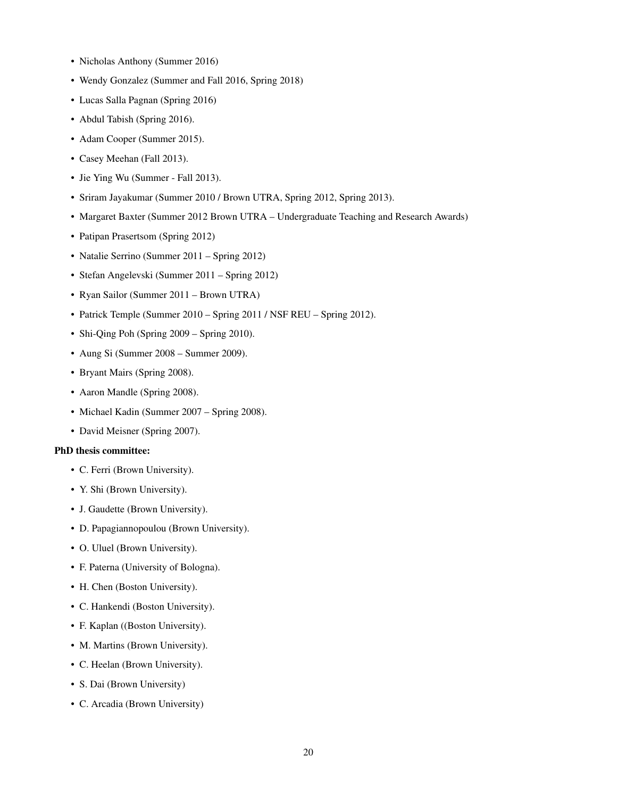- Nicholas Anthony (Summer 2016)
- Wendy Gonzalez (Summer and Fall 2016, Spring 2018)
- Lucas Salla Pagnan (Spring 2016)
- Abdul Tabish (Spring 2016).
- Adam Cooper (Summer 2015).
- Casey Meehan (Fall 2013).
- Jie Ying Wu (Summer Fall 2013).
- Sriram Jayakumar (Summer 2010 / Brown UTRA, Spring 2012, Spring 2013).
- Margaret Baxter (Summer 2012 Brown UTRA Undergraduate Teaching and Research Awards)
- Patipan Prasertsom (Spring 2012)
- Natalie Serrino (Summer 2011 Spring 2012)
- Stefan Angelevski (Summer 2011 Spring 2012)
- Ryan Sailor (Summer 2011 Brown UTRA)
- Patrick Temple (Summer 2010 Spring 2011 / NSF REU Spring 2012).
- Shi-Qing Poh (Spring 2009 Spring 2010).
- Aung Si (Summer 2008 Summer 2009).
- Bryant Mairs (Spring 2008).
- Aaron Mandle (Spring 2008).
- Michael Kadin (Summer 2007 Spring 2008).
- David Meisner (Spring 2007).

#### PhD thesis committee:

- C. Ferri (Brown University).
- Y. Shi (Brown University).
- J. Gaudette (Brown University).
- D. Papagiannopoulou (Brown University).
- O. Uluel (Brown University).
- F. Paterna (University of Bologna).
- H. Chen (Boston University).
- C. Hankendi (Boston University).
- F. Kaplan ((Boston University).
- M. Martins (Brown University).
- C. Heelan (Brown University).
- S. Dai (Brown University)
- C. Arcadia (Brown University)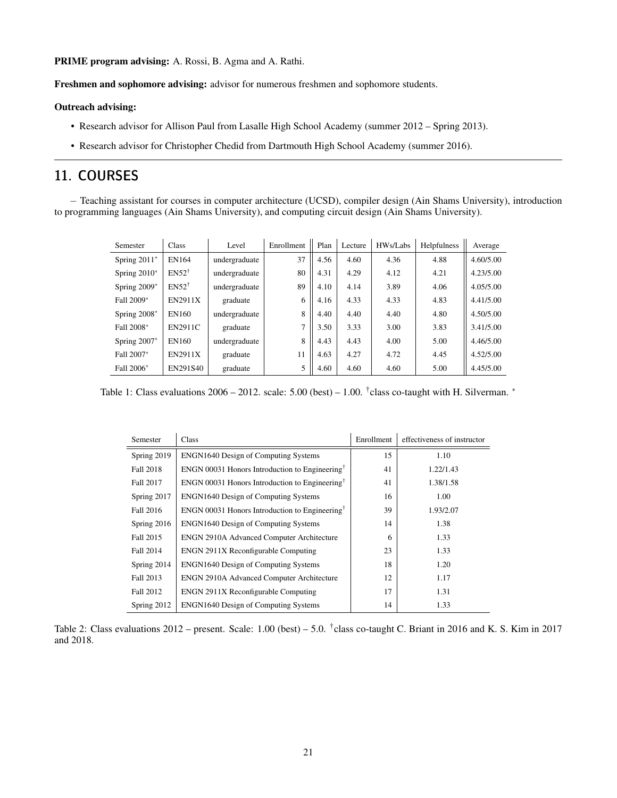PRIME program advising: A. Rossi, B. Agma and A. Rathi.

Freshmen and sophomore advising: advisor for numerous freshmen and sophomore students.

#### Outreach advising:

- Research advisor for Allison Paul from Lasalle High School Academy (summer 2012 Spring 2013).
- Research advisor for Christopher Chedid from Dartmouth High School Academy (summer 2016).

## 11. COURSES

− Teaching assistant for courses in computer architecture (UCSD), compiler design (Ain Shams University), introduction to programming languages (Ain Shams University), and computing circuit design (Ain Shams University).

| Semester       | Class            | Level         | Enrollment | Plan | Lecture | HWs/Labs | Helpfulness | Average   |
|----------------|------------------|---------------|------------|------|---------|----------|-------------|-----------|
| Spring 2011*   | EN164            | undergraduate | 37         | 4.56 | 4.60    | 4.36     | 4.88        | 4.60/5.00 |
| Spring $2010*$ | $EN52^{\dagger}$ | undergraduate | 80         | 4.31 | 4.29    | 4.12     | 4.21        | 4.23/5.00 |
| Spring 2009*   | $EN52^{\dagger}$ | undergraduate | 89         | 4.10 | 4.14    | 3.89     | 4.06        | 4.05/5.00 |
| Fall 2009*     | <b>EN2911X</b>   | graduate      | 6          | 4.16 | 4.33    | 4.33     | 4.83        | 4.41/5.00 |
| Spring $2008*$ | EN160            | undergraduate | 8          | 4.40 | 4.40    | 4.40     | 4.80        | 4.50/5.00 |
| Fall 2008*     | <b>EN2911C</b>   | graduate      | 7          | 3.50 | 3.33    | 3.00     | 3.83        | 3.41/5.00 |
| Spring $2007*$ | EN160            | undergraduate | 8          | 4.43 | 4.43    | 4.00     | 5.00        | 4.46/5.00 |
| Fall 2007*     | <b>EN2911X</b>   | graduate      | 11         | 4.63 | 4.27    | 4.72     | 4.45        | 4.52/5.00 |
| Fall 2006*     | EN291S40         | graduate      | 5          | 4.60 | 4.60    | 4.60     | 5.00        | 4.45/5.00 |

Table 1: Class evaluations  $2006 - 2012$ . scale:  $5.00$  (best) – 1.00. <sup>†</sup>class co-taught with H. Silverman.  $*$ 

| Semester         | Class                                                      | Enrollment | effectiveness of instructor |
|------------------|------------------------------------------------------------|------------|-----------------------------|
| Spring 2019      | <b>ENGN1640 Design of Computing Systems</b>                | 15         | 1.10                        |
| Fall 2018        | ENGN 00031 Honors Introduction to Engineering <sup>†</sup> | 41         | 1.22/1.43                   |
| Fall 2017        | ENGN 00031 Honors Introduction to Engineering <sup>†</sup> | 41         | 1.38/1.58                   |
| Spring 2017      | ENGN1640 Design of Computing Systems                       | 16         | 1.00                        |
| <b>Fall 2016</b> | ENGN 00031 Honors Introduction to Engineering <sup>†</sup> | 39         | 1.93/2.07                   |
| Spring 2016      | <b>ENGN1640 Design of Computing Systems</b>                | 14         | 1.38                        |
| Fall 2015        | <b>ENGN 2910A Advanced Computer Architecture</b>           | 6          | 1.33                        |
| Fall 2014        | ENGN 2911X Reconfigurable Computing                        | 23         | 1.33                        |
| Spring 2014      | <b>ENGN1640 Design of Computing Systems</b>                | 18         | 1.20                        |
| Fall 2013        | <b>ENGN 2910A Advanced Computer Architecture</b>           | 12         | 1.17                        |
| Fall 2012        | ENGN 2911X Reconfigurable Computing                        | 17         | 1.31                        |
| Spring 2012      | <b>ENGN1640 Design of Computing Systems</b>                | 14         | 1.33                        |

Table 2: Class evaluations 2012 – present. Scale: 1.00 (best) – 5.0. <sup>†</sup>class co-taught C. Briant in 2016 and K. S. Kim in 2017 and 2018.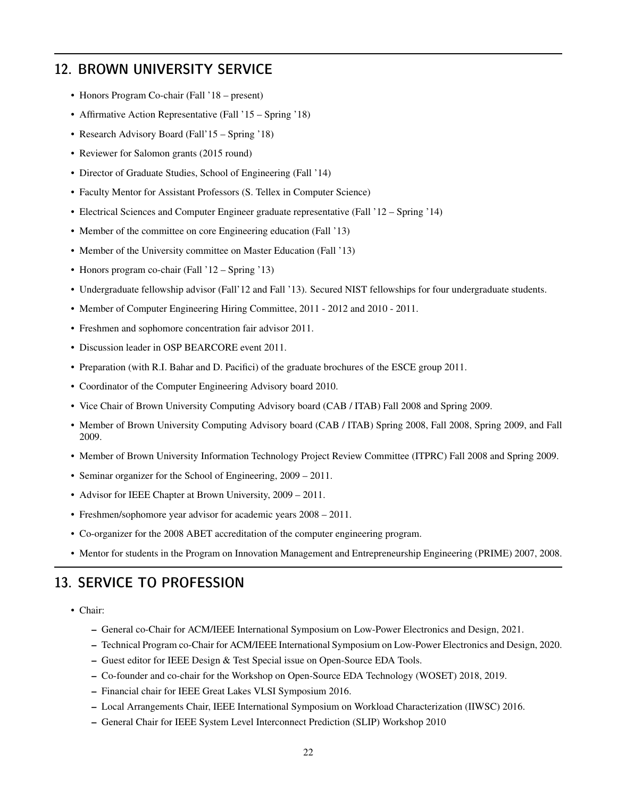### 12. BROWN UNIVERSITY SERVICE

- Honors Program Co-chair (Fall '18 present)
- Affirmative Action Representative (Fall '15 Spring '18)
- Research Advisory Board (Fall'15 Spring '18)
- Reviewer for Salomon grants (2015 round)
- Director of Graduate Studies, School of Engineering (Fall '14)
- Faculty Mentor for Assistant Professors (S. Tellex in Computer Science)
- Electrical Sciences and Computer Engineer graduate representative (Fall '12 Spring '14)
- Member of the committee on core Engineering education (Fall '13)
- Member of the University committee on Master Education (Fall '13)
- Honors program co-chair (Fall '12 Spring '13)
- Undergraduate fellowship advisor (Fall'12 and Fall '13). Secured NIST fellowships for four undergraduate students.
- Member of Computer Engineering Hiring Committee, 2011 2012 and 2010 2011.
- Freshmen and sophomore concentration fair advisor 2011.
- Discussion leader in OSP BEARCORE event 2011.
- Preparation (with R.I. Bahar and D. Pacifici) of the graduate brochures of the ESCE group 2011.
- Coordinator of the Computer Engineering Advisory board 2010.
- Vice Chair of Brown University Computing Advisory board (CAB / ITAB) Fall 2008 and Spring 2009.
- Member of Brown University Computing Advisory board (CAB / ITAB) Spring 2008, Fall 2008, Spring 2009, and Fall 2009.
- Member of Brown University Information Technology Project Review Committee (ITPRC) Fall 2008 and Spring 2009.
- Seminar organizer for the School of Engineering, 2009 2011.
- Advisor for IEEE Chapter at Brown University, 2009 2011.
- Freshmen/sophomore year advisor for academic years 2008 2011.
- Co-organizer for the 2008 ABET accreditation of the computer engineering program.
- Mentor for students in the Program on Innovation Management and Entrepreneurship Engineering (PRIME) 2007, 2008.

### 13. SERVICE TO PROFESSION

- Chair:
	- General co-Chair for ACM/IEEE International Symposium on Low-Power Electronics and Design, 2021.
	- Technical Program co-Chair for ACM/IEEE International Symposium on Low-Power Electronics and Design, 2020.
	- Guest editor for IEEE Design & Test Special issue on Open-Source EDA Tools.
	- Co-founder and co-chair for the Workshop on Open-Source EDA Technology (WOSET) 2018, 2019.
	- Financial chair for IEEE Great Lakes VLSI Symposium 2016.
	- Local Arrangements Chair, IEEE International Symposium on Workload Characterization (IIWSC) 2016.
	- General Chair for IEEE System Level Interconnect Prediction (SLIP) Workshop 2010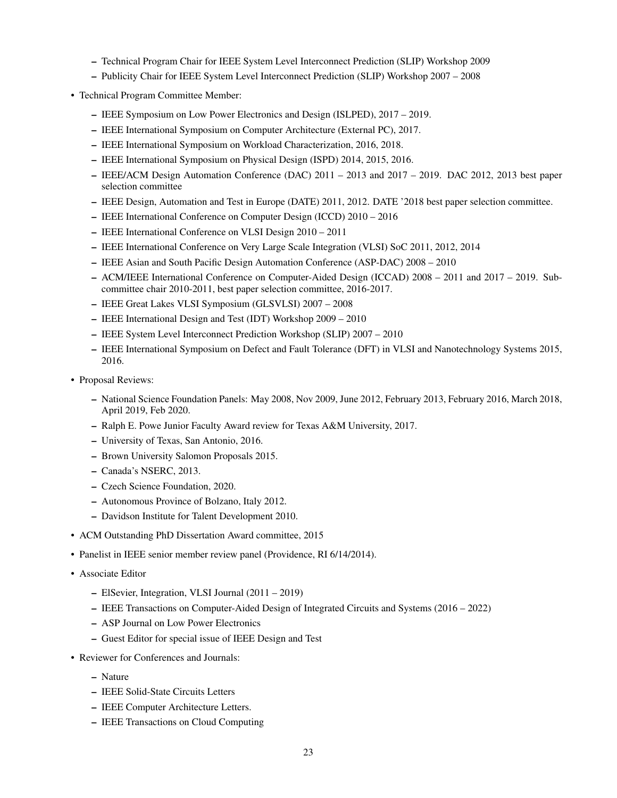- Technical Program Chair for IEEE System Level Interconnect Prediction (SLIP) Workshop 2009
- Publicity Chair for IEEE System Level Interconnect Prediction (SLIP) Workshop 2007 2008
- Technical Program Committee Member:
	- IEEE Symposium on Low Power Electronics and Design (ISLPED), 2017 2019.
	- IEEE International Symposium on Computer Architecture (External PC), 2017.
	- IEEE International Symposium on Workload Characterization, 2016, 2018.
	- IEEE International Symposium on Physical Design (ISPD) 2014, 2015, 2016.
	- IEEE/ACM Design Automation Conference (DAC) 2011 2013 and 2017 2019. DAC 2012, 2013 best paper selection committee
	- IEEE Design, Automation and Test in Europe (DATE) 2011, 2012. DATE '2018 best paper selection committee.
	- IEEE International Conference on Computer Design (ICCD) 2010 2016
	- IEEE International Conference on VLSI Design 2010 2011
	- IEEE International Conference on Very Large Scale Integration (VLSI) SoC 2011, 2012, 2014
	- IEEE Asian and South Pacific Design Automation Conference (ASP-DAC) 2008 2010
	- ACM/IEEE International Conference on Computer-Aided Design (ICCAD) 2008 2011 and 2017 2019. Subcommittee chair 2010-2011, best paper selection committee, 2016-2017.
	- IEEE Great Lakes VLSI Symposium (GLSVLSI) 2007 2008
	- IEEE International Design and Test (IDT) Workshop 2009 2010
	- IEEE System Level Interconnect Prediction Workshop (SLIP) 2007 2010
	- IEEE International Symposium on Defect and Fault Tolerance (DFT) in VLSI and Nanotechnology Systems 2015, 2016.
- Proposal Reviews:
	- National Science Foundation Panels: May 2008, Nov 2009, June 2012, February 2013, February 2016, March 2018, April 2019, Feb 2020.
	- Ralph E. Powe Junior Faculty Award review for Texas A&M University, 2017.
	- University of Texas, San Antonio, 2016.
	- Brown University Salomon Proposals 2015.
	- Canada's NSERC, 2013.
	- Czech Science Foundation, 2020.
	- Autonomous Province of Bolzano, Italy 2012.
	- Davidson Institute for Talent Development 2010.
- ACM Outstanding PhD Dissertation Award committee, 2015
- Panelist in IEEE senior member review panel (Providence, RI 6/14/2014).
- Associate Editor
	- ElSevier, Integration, VLSI Journal (2011 2019)
	- IEEE Transactions on Computer-Aided Design of Integrated Circuits and Systems (2016 2022)
	- ASP Journal on Low Power Electronics
	- Guest Editor for special issue of IEEE Design and Test
- Reviewer for Conferences and Journals:
	- Nature
	- IEEE Solid-State Circuits Letters
	- IEEE Computer Architecture Letters.
	- IEEE Transactions on Cloud Computing